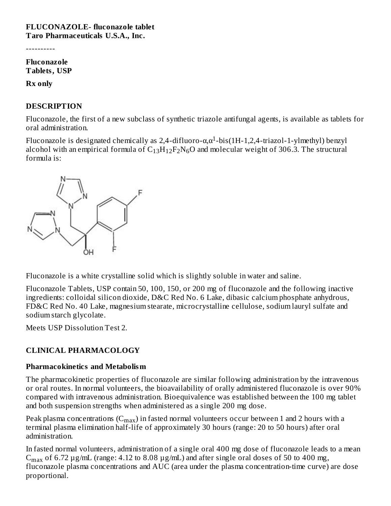#### **FLUCONAZOLE- fluconazole tablet Taro Pharmaceuticals U.S.A., Inc.**

----------

**Fluconazole Tablets, USP**

**Rx only**

#### **DESCRIPTION**

Fluconazole, the first of a new subclass of synthetic triazole antifungal agents, is available as tablets for oral administration.

Fluconazole is designated chemically as 2,4-difluoro-α,α<sup>1</sup>-bis(1H-1,2,4-triazol-1-ylmethyl) benzyl alcohol with an empirical formula of  $\rm{C_{13}H_{12}F_{2}N_6O}$  and molecular weight of 306.3. The structural formula is:



Fluconazole is a white crystalline solid which is slightly soluble in water and saline.

Fluconazole Tablets, USP contain 50, 100, 150, or 200 mg of fluconazole and the following inactive ingredients: colloidal silicon dioxide, D&C Red No. 6 Lake, dibasic calcium phosphate anhydrous, FD&C Red No. 40 Lake, magnesium stearate, microcrystalline cellulose, sodium lauryl sulfate and sodium starch glycolate.

Meets USP Dissolution Test 2.

# **CLINICAL PHARMACOLOGY**

#### **Pharmacokinetics and Metabolism**

The pharmacokinetic properties of fluconazole are similar following administration by the intravenous or oral routes. In normal volunteers, the bioavailability of orally administered fluconazole is over 90% compared with intravenous administration. Bioequivalence was established between the 100 mg tablet and both suspension strengths when administered as a single 200 mg dose.

Peak plasma concentrations  $(\mathsf{C}_{\mathsf{max}})$  in fasted normal volunteers occur between 1 and 2 hours with a terminal plasma elimination half-life of approximately 30 hours (range: 20 to 50 hours) after oral administration.

In fasted normal volunteers, administration of a single oral 400 mg dose of fluconazole leads to a mean  $C_{max}$  of 6.72  $\mu$ g/mL (range: 4.12 to 8.08  $\mu$ g/mL) and after single oral doses of 50 to 400 mg, fluconazole plasma concentrations and AUC (area under the plasma concentration-time curve) are dose proportional.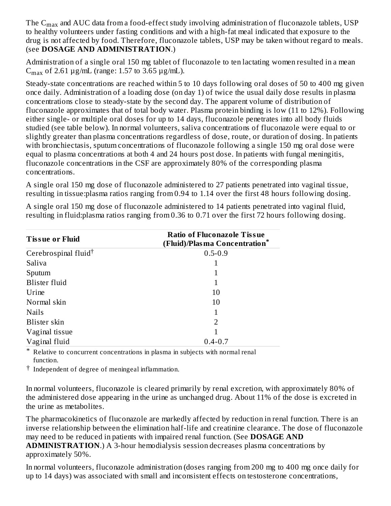The  $\rm{C_{max}}$  and AUC data from a food-effect study involving administration of fluconazole tablets, USP to healthy volunteers under fasting conditions and with a high-fat meal indicated that exposure to the drug is not affected by food. Therefore, fluconazole tablets, USP may be taken without regard to meals. (see **DOSAGE AND ADMINISTRATION**.)

Administration of a single oral 150 mg tablet of fluconazole to ten lactating women resulted in a mean  $C_{\text{max}}$  of 2.61  $\mu$ g/mL (range: 1.57 to 3.65  $\mu$ g/mL).

Steady-state concentrations are reached within 5 to 10 days following oral doses of 50 to 400 mg given once daily. Administration of a loading dose (on day 1) of twice the usual daily dose results in plasma concentrations close to steady-state by the second day. The apparent volume of distribution of fluconazole approximates that of total body water. Plasma protein binding is low (11 to 12%). Following either single- or multiple oral doses for up to 14 days, fluconazole penetrates into all body fluids studied (see table below). In normal volunteers, saliva concentrations of fluconazole were equal to or slightly greater than plasma concentrations regardless of dose, route, or duration of dosing. In patients with bronchiectasis, sputum concentrations of fluconazole following a single 150 mg oral dose were equal to plasma concentrations at both 4 and 24 hours post dose. In patients with fungal meningitis, fluconazole concentrations in the CSF are approximately 80% of the corresponding plasma concentrations.

A single oral 150 mg dose of fluconazole administered to 27 patients penetrated into vaginal tissue, resulting in tissue:plasma ratios ranging from 0.94 to 1.14 over the first 48 hours following dosing.

A single oral 150 mg dose of fluconazole administered to 14 patients penetrated into vaginal fluid, resulting in fluid:plasma ratios ranging from 0.36 to 0.71 over the first 72 hours following dosing.

| <b>Tissue or Fluid</b>           | <b>Ratio of Fluconazole Tissue</b><br>(Fluid)/Plasma Concentration <sup>*</sup> |
|----------------------------------|---------------------------------------------------------------------------------|
| Cerebrospinal fluid <sup>†</sup> | $0.5 - 0.9$                                                                     |
| Saliva                           |                                                                                 |
| Sputum                           |                                                                                 |
| <b>Blister</b> fluid             |                                                                                 |
| Urine                            | 10                                                                              |
| Normal skin                      | 10                                                                              |
| <b>Nails</b>                     |                                                                                 |
| Blister skin                     | 2                                                                               |
| Vaginal tissue                   |                                                                                 |
| Vaginal fluid                    | $0.4 - 0.7$                                                                     |

\* Relative to concurrent concentrations in plasma in subjects with normal renal function.

† Independent of degree of meningeal inflammation.

In normal volunteers, fluconazole is cleared primarily by renal excretion, with approximately 80% of the administered dose appearing in the urine as unchanged drug. About 11% of the dose is excreted in the urine as metabolites.

The pharmacokinetics of fluconazole are markedly affected by reduction in renal function. There is an inverse relationship between the elimination half-life and creatinine clearance. The dose of fluconazole may need to be reduced in patients with impaired renal function. (See **DOSAGE AND ADMINISTRATION**.) A 3-hour hemodialysis session decreases plasma concentrations by approximately 50%.

In normal volunteers, fluconazole administration (doses ranging from 200 mg to 400 mg once daily for up to 14 days) was associated with small and inconsistent effects on testosterone concentrations,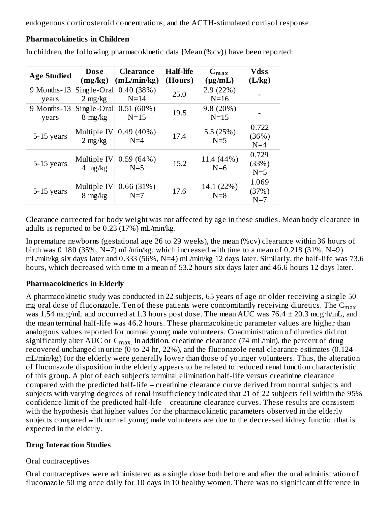endogenous corticosteroid concentrations, and the ACTH-stimulated cortisol response.

| <b>Age Studied</b>   | <b>Dose</b><br>(mg/kg)           | <b>Clearance</b><br>(mL/min/kg) | <b>Half-life</b><br>(Hours) | $C_{\text{max}}$<br>$(\mu g/mL)$ | <b>Vdss</b><br>(L/kg)   |
|----------------------|----------------------------------|---------------------------------|-----------------------------|----------------------------------|-------------------------|
| 9 Months-13<br>years | Single-Oral<br>$2 \text{ mg/kg}$ | 0.40(38%)<br>$N=14$             | 25.0                        | 2.9(22%)<br>$N=16$               |                         |
| 9 Months-13<br>years | Single-Oral<br>$8 \text{ mg/kg}$ | $0.51(60\%)$<br>$N=15$          | 19.5                        | 9.8(20%)<br>$N=15$               |                         |
| 5-15 years           | Multiple IV<br>$2 \text{ mg/kg}$ | $0.49(40\%)$<br>$N=4$           | 17.4                        | 5.5(25%)<br>$N=5$                | 0.722<br>(36%)<br>$N=4$ |
| 5-15 years           | Multiple IV<br>$4 \text{ mg/kg}$ | 0.59(64%)<br>$N=5$              | 15.2                        | 11.4 (44%)<br>$N=6$              | 0.729<br>(33%)<br>$N=5$ |
| 5-15 years           | Multiple IV<br>$8 \text{ mg/kg}$ | 0.66(31%)<br>$N=7$              | 17.6                        | 14.1 (22%)<br>$N=8$              | 1.069<br>(37%)<br>$N=7$ |

**Pharmacokinetics in Children**

In children, the following pharmacokinetic data {Mean (%cv)} have been reported:

Clearance corrected for body weight was not affected by age in these studies. Mean body clearance in adults is reported to be 0.23 (17%) mL/min/kg.

In premature newborns (gestational age 26 to 29 weeks), the mean (%cv) clearance within 36 hours of birth was 0.180 (35%,  $N=7$ ) mL/min/kg, which increased with time to a mean of 0.218 (31%,  $N=9$ ) mL/min/kg six days later and 0.333 (56%, N=4) mL/min/kg 12 days later. Similarly, the half-life was 73.6 hours, which decreased with time to a mean of 53.2 hours six days later and 46.6 hours 12 days later.

#### **Pharmacokinetics in Elderly**

A pharmacokinetic study was conducted in 22 subjects, 65 years of age or older receiving a single 50 mg oral dose of fluconazole. Ten of these patients were concomitantly receiving diuretics. The  $\mathsf{C}_{\max}$ was 1.54 mcg/mL and occurred at 1.3 hours post dose. The mean AUC was  $76.4 \pm 20.3$  mcg·h/mL, and the mean terminal half-life was 46.2 hours. These pharmacokinetic parameter values are higher than analogous values reported for normal young male volunteers. Coadministration of diuretics did not significantly alter AUC or  $\mathsf{C}_{\max}$ . In addition, creatinine clearance (74 mL/min), the percent of drug recovered unchanged in urine (0 to 24 hr, 22%), and the fluconazole renal clearance estimates (0.124 mL/min/kg) for the elderly were generally lower than those of younger volunteers. Thus, the alteration of fluconazole disposition in the elderly appears to be related to reduced renal function characteristic of this group. A plot of each subject's terminal elimination half-life versus creatinine clearance compared with the predicted half-life – creatinine clearance curve derived from normal subjects and subjects with varying degrees of renal insufficiency indicated that 21 of 22 subjects fell within the 95% confidence limit of the predicted half-life – creatinine clearance curves. These results are consistent with the hypothesis that higher values for the pharmacokinetic parameters observed in the elderly subjects compared with normal young male volunteers are due to the decreased kidney function that is expected in the elderly.

#### **Drug Interaction Studies**

#### Oral contraceptives

Oral contraceptives were administered as a single dose both before and after the oral administration of fluconazole 50 mg once daily for 10 days in 10 healthy women. There was no significant difference in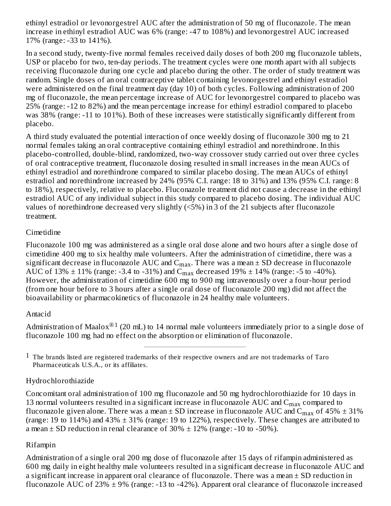ethinyl estradiol or levonorgestrel AUC after the administration of 50 mg of fluconazole. The mean increase in ethinyl estradiol AUC was 6% (range: -47 to 108%) and levonorgestrel AUC increased 17% (range: -33 to 141%).

In a second study, twenty-five normal females received daily doses of both 200 mg fluconazole tablets, USP or placebo for two, ten-day periods. The treatment cycles were one month apart with all subjects receiving fluconazole during one cycle and placebo during the other. The order of study treatment was random. Single doses of an oral contraceptive tablet containing levonorgestrel and ethinyl estradiol were administered on the final treatment day (day 10) of both cycles. Following administration of 200 mg of fluconazole, the mean percentage increase of AUC for levonorgestrel compared to placebo was 25% (range: -12 to 82%) and the mean percentage increase for ethinyl estradiol compared to placebo was 38% (range: -11 to 101%). Both of these increases were statistically significantly different from placebo.

A third study evaluated the potential interaction of once weekly dosing of fluconazole 300 mg to 21 normal females taking an oral contraceptive containing ethinyl estradiol and norethindrone. In this placebo-controlled, double-blind, randomized, two-way crossover study carried out over three cycles of oral contraceptive treatment, fluconazole dosing resulted in small increases in the mean AUCs of ethinyl estradiol and norethindrone compared to similar placebo dosing. The mean AUCs of ethinyl estradiol and norethindrone increased by 24% (95% C.I. range: 18 to 31%) and 13% (95% C.I. range: 8 to 18%), respectively, relative to placebo. Fluconazole treatment did not cause a decrease in the ethinyl estradiol AUC of any individual subject in this study compared to placebo dosing. The individual AUC values of norethindrone decreased very slightly (<5%) in 3 of the 21 subjects after fluconazole treatment.

# **Cimetidine**

Fluconazole 100 mg was administered as a single oral dose alone and two hours after a single dose of cimetidine 400 mg to six healthy male volunteers. After the administration of cimetidine, there was a significant decrease in fluconazole  $\mathop{\rm AUC}\nolimits$  and  $\mathop{\rm C_{max}}\nolimits.$  There was a mean  $\pm$  SD decrease in fluconazole AUC of 13%  $\pm$  11% (range: -3.4 to -31%) and C<sub>max</sub> decreased 19%  $\pm$  14% (range: -5 to -40%). However, the administration of cimetidine 600 mg to 900 mg intravenously over a four-hour period (from one hour before to 3 hours after a single oral dose of fluconazole 200 mg) did not affect the bioavailability or pharmacokinetics of fluconazole in 24 healthy male volunteers.

#### Antacid

Administration of Maalox $^{\circledR 1}$  (20 mL) to 14 normal male volunteers immediately prior to a single dose of fluconazole 100 mg had no effect on the absorption or elimination of fluconazole.

 $1$  The brands listed are registered trademarks of their respective owners and are not trademarks of Taro Pharmaceuticals U.S.A., or its affiliates.

# Hydrochlorothiazide

Concomitant oral administration of 100 mg fluconazole and 50 mg hydrochlorothiazide for 10 days in 13 normal volunteers resulted in a significant increase in fluconazole  $\rm AUC$  and  $\rm C_{max}$  compared to fluconazole given alone. There was a mean  $\pm$  SD increase in fluconazole AUC and  $\rm{C_{max}}$  of 45%  $\pm$  31% (range: 19 to 114%) and 43% ± 31% (range: 19 to 122%), respectively. These changes are attributed to a mean  $\pm$  SD reduction in renal clearance of 30%  $\pm$  12% (range: -10 to -50%).

# Rifampin

Administration of a single oral 200 mg dose of fluconazole after 15 days of rifampin administered as 600 mg daily in eight healthy male volunteers resulted in a significant decrease in fluconazole AUC and a significant increase in apparent oral clearance of fluconazole. There was a mean  $\pm$  SD reduction in fluconazole AUC of 23%  $\pm$  9% (range: -13 to -42%). Apparent oral clearance of fluconazole increased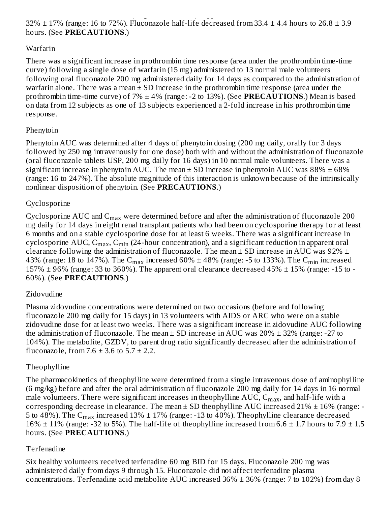fluctona $\mathcal{L}$  to  $\mathcal{L}$  to  $\mathcal{L}$  to  $\mathcal{L}$  to  $\mathcal{L}$  to  $\mathcal{L}$  and  $\mathcal{L}$  increased increased increased increased increased increased increased increased increased increased in  $\mathcal{L}$ 32%  $\pm$  17% (range: 16 to 72%). Fluconazole half-life decreased from 33.4  $\pm$  4.4 hours to 26.8  $\pm$  3.9 hours. (See **PRECAUTIONS**.)

### Warfarin

There was a significant increase in prothrombin time response (area under the prothrombin time-time curve) following a single dose of warfarin (15 mg) administered to 13 normal male volunteers following oral fluconazole 200 mg administered daily for 14 days as compared to the administration of warfarin alone. There was a mean  $\pm$  SD increase in the prothrombin time response (area under the prothrombin time-time curve) of 7% ± 4% (range: -2 to 13%). (See **PRECAUTIONS**.) Mean is based on data from 12 subjects as one of 13 subjects experienced a 2-fold increase in his prothrombin time response.

# Phenytoin

Phenytoin AUC was determined after 4 days of phenytoin dosing (200 mg daily, orally for 3 days followed by 250 mg intravenously for one dose) both with and without the administration of fluconazole (oral fluconazole tablets USP, 200 mg daily for 16 days) in 10 normal male volunteers. There was a significant increase in phenytoin AUC. The mean  $\pm$  SD increase in phenytoin AUC was 88%  $\pm$  68% (range: 16 to 247%). The absolute magnitude of this interaction is unknown because of the intrinsically nonlinear disposition of phenytoin. (See **PRECAUTIONS**.)

### Cyclosporine

Cyclosporine AUC and  $\mathsf{C}_{\max}$  were determined before and after the administration of fluconazole 200 mg daily for 14 days in eight renal transplant patients who had been on cyclosporine therapy for at least 6 months and on a stable cyclosporine dose for at least 6 weeks. There was a significant increase in cyclosporine AUC,  $\rm{C_{max}, C_{min}}$  (24-hour concentration), and a significant reduction in apparent oral clearance following the administration of fluconazole. The mean  $\pm$  SD increase in AUC was 92%  $\pm$ 43% (range: 18 to 147%). The  $\rm{C_{max}}$  increased 60%  $\pm$  48% (range: -5 to 133%). The  $\rm{C_{min}}$  increased 157%  $\pm$  96% (range: 33 to 360%). The apparent oral clearance decreased 45%  $\pm$  15% (range: -15 to -60%). (See **PRECAUTIONS**.)

# Zidovudine

Plasma zidovudine concentrations were determined on two occasions (before and following fluconazole 200 mg daily for 15 days) in 13 volunteers with AIDS or ARC who were on a stable zidovudine dose for at least two weeks. There was a significant increase in zidovudine AUC following the administration of fluconazole. The mean  $\pm$  SD increase in AUC was 20%  $\pm$  32% (range: -27 to 104%). The metabolite, GZDV, to parent drug ratio significantly decreased after the administration of fluconazole, from  $7.6 \pm 3.6$  to  $5.7 \pm 2.2$ .

# Theophylline

The pharmacokinetics of theophylline were determined from a single intravenous dose of aminophylline (6 mg/kg) before and after the oral administration of fluconazole 200 mg daily for 14 days in 16 normal male volunteers. There were significant increases in theophylline  $\mathrm{AUC}, \mathrm{C_{max}}$ , and half-life with a corresponding decrease in clearance. The mean  $\pm$  SD theophylline AUC increased 21%  $\pm$  16% (range: -5 to 48%). The  $\rm{C_{max}}$  increased 13%  $\pm$  17% (range: -13 to 40%). Theophylline clearance decreased 16%  $\pm$  11% (range: -32 to 5%). The half-life of theophylline increased from 6.6  $\pm$  1.7 hours to 7.9  $\pm$  1.5 hours. (See **PRECAUTIONS**.)

#### Terfenadine

Six healthy volunteers received terfenadine 60 mg BID for 15 days. Fluconazole 200 mg was administered daily from days 9 through 15. Fluconazole did not affect terfenadine plasma concentrations. Terfenadine acid metabolite AUC increased  $36\% \pm 36\%$  (range: 7 to 102%) from day 8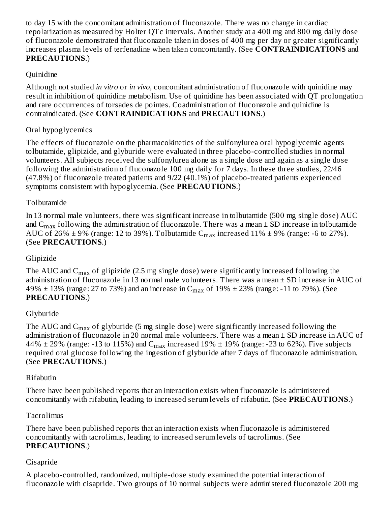to day 15 with the concomitant administration of fluconazole. There was no change in cardiac repolarization as measured by Holter QTc intervals. Another study at a 400 mg and 800 mg daily dose of fluconazole demonstrated that fluconazole taken in doses of 400 mg per day or greater significantly increases plasma levels of terfenadine when taken concomitantly. (See **CONTRAINDICATIONS** and **PRECAUTIONS**.)

### **Quinidine**

Although not studied *in vitro* or *in vivo*, concomitant administration of fluconazole with quinidine may result in inhibition of quinidine metabolism. Use of quinidine has been associated with QT prolongation and rare occurrences of torsades de pointes. Coadministration of fluconazole and quinidine is contraindicated. (See **CONTRAINDICATIONS** and **PRECAUTIONS**.)

### Oral hypoglycemics

The effects of fluconazole on the pharmacokinetics of the sulfonylurea oral hypoglycemic agents tolbutamide, glipizide, and glyburide were evaluated in three placebo-controlled studies in normal volunteers. All subjects received the sulfonylurea alone as a single dose and again as a single dose following the administration of fluconazole 100 mg daily for 7 days. In these three studies, 22/46 (47.8%) of fluconazole treated patients and 9/22 (40.1%) of placebo-treated patients experienced symptoms consistent with hypoglycemia. (See **PRECAUTIONS**.)

#### Tolbutamide

In 13 normal male volunteers, there was significant increase in tolbutamide (500 mg single dose) AUC and  $\rm{C_{max}}$  following the administration of fluconazole. There was a mean  $\pm$  SD increase in tolbutamide AUC of 26%  $\pm$  9% (range: 12 to 39%). Tolbutamide  $C_{max}$  increased 11%  $\pm$  9% (range: -6 to 27%). (See **PRECAUTIONS**.)

#### Glipizide

The AUC and  $\rm{C_{max}}$  of glipizide (2.5 mg single dose) were significantly increased following the administration of fluconazole in 13 normal male volunteers. There was a mean  $\pm$  SD increase in AUC of 49%  $\pm$  13% (range: 27 to 73%) and an increase in C $_{\rm max}$  of 19%  $\pm$  23% (range: -11 to 79%). (See **PRECAUTIONS**.)

#### Glyburide

The AUC and  $\rm{C_{max}}$  of glyburide (5 mg single dose) were significantly increased following the administration of fluconazole in 20 normal male volunteers. There was a mean  $\pm$  SD increase in AUC of 44%  $\pm$  29% (range: -13 to 115%) and C $_{\rm max}$  increased 19%  $\pm$  19% (range: -23 to 62%). Five subjects required oral glucose following the ingestion of glyburide after 7 days of fluconazole administration. (See **PRECAUTIONS**.)

#### Rifabutin

There have been published reports that an interaction exists when fluconazole is administered concomitantly with rifabutin, leading to increased serum levels of rifabutin. (See **PRECAUTIONS**.)

#### Tacrolimus

There have been published reports that an interaction exists when fluconazole is administered concomitantly with tacrolimus, leading to increased serum levels of tacrolimus. (See **PRECAUTIONS**.)

#### Cisapride

A placebo-controlled, randomized, multiple-dose study examined the potential interaction of fluconazole with cisapride. Two groups of 10 normal subjects were administered fluconazole 200 mg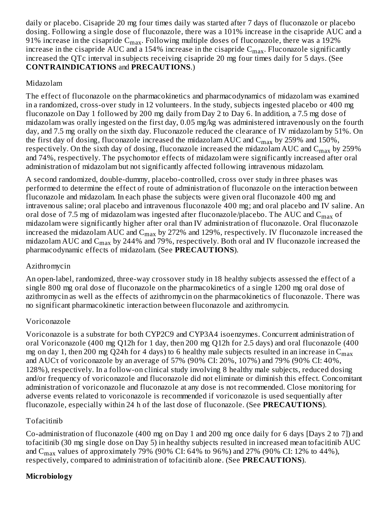daily or placebo. Cisapride 20 mg four times daily was started after 7 days of fluconazole or placebo dosing. Following a single dose of fluconazole, there was a 101% increase in the cisapride AUC and a 91% increase in the cisapride  $\rm C_{max}.$  Following multiple doses of fluconazole, there was a 192% increase in the cisapride  $\rm AUC$  and a 154% increase in the cisapride  $\rm C_{max}.$  Fluconazole significantly increased the QTc interval in subjects receiving cisapride 20 mg four times daily for 5 days. (See **CONTRAINDICATIONS** and **PRECAUTIONS**.)

# Midazolam

The effect of fluconazole on the pharmacokinetics and pharmacodynamics of midazolam was examined in a randomized, cross-over study in 12 volunteers. In the study, subjects ingested placebo or 400 mg fluconazole on Day 1 followed by 200 mg daily from Day 2 to Day 6. In addition, a 7.5 mg dose of midazolam was orally ingested on the first day, 0.05 mg/kg was administered intravenously on the fourth day, and 7.5 mg orally on the sixth day. Fluconazole reduced the clearance of IV midazolam by 51%. On the first day of dosing, fluconazole increased the midazolam  $\rm AUC$  and  $\rm C_{max}$  by 259% and 150%, respectively. On the sixth day of dosing, fluconazole increased the midazolam AUC and  $\rm C_{max}$  by 259% and 74%, respectively. The psychomotor effects of midazolam were significantly increased after oral administration of midazolam but not significantly affected following intravenous midazolam.

A second randomized, double-dummy, placebo-controlled, cross over study in three phases was performed to determine the effect of route of administration of fluconazole on the interaction between fluconazole and midazolam. In each phase the subjects were given oral fluconazole 400 mg and intravenous saline; oral placebo and intravenous fluconazole 400 mg; and oral placebo and IV saline. An oral dose of 7.5 mg of midazolam was ingested after fluconazole/placebo. The AUC and  $\mathsf{C}_{\max}$  of midazolam were significantly higher after oral than IV administration of fluconazole. Oral fluconazole increased the midazolam AUC and  $\rm C_{max}$  by 272% and 129%, respectively. IV fluconazole increased the midazolam AUC and  $\rm{C_{max}}$  by 244% and 79%, respectively. Both oral and IV fluconazole increased the pharmacodynamic effects of midazolam. (See **PRECAUTIONS**).

# Azithromycin

An open-label, randomized, three-way crossover study in 18 healthy subjects assessed the effect of a single 800 mg oral dose of fluconazole on the pharmacokinetics of a single 1200 mg oral dose of azithromycin as well as the effects of azithromycin on the pharmacokinetics of fluconazole. There was no significant pharmacokinetic interaction between fluconazole and azithromycin.

# Voriconazole

Voriconazole is a substrate for both CYP2C9 and CYP3A4 isoenzymes. Concurrent administration of oral Voriconazole (400 mg Q12h for 1 day, then 200 mg Q12h for 2.5 days) and oral fluconazole (400 mg on day 1, then 200 mg Q24h for 4 days) to 6 healthy male subjects resulted in an increase in  $\mathsf{C}_{\max}$ and AUCτ of voriconazole by an average of 57% (90% CI: 20%, 107%) and 79% (90% CI: 40%, 128%), respectively. In a follow-on clinical study involving 8 healthy male subjects, reduced dosing and/or frequency of voriconazole and fluconazole did not eliminate or diminish this effect. Concomitant administration of voriconazole and fluconazole at any dose is not recommended. Close monitoring for adverse events related to voriconazole is recommended if voriconazole is used sequentially after fluconazole, especially within 24 h of the last dose of fluconazole. (See **PRECAUTIONS**).

# Tofacitinib

Co-administration of fluconazole (400 mg on Day 1 and 200 mg once daily for 6 days [Days 2 to 7]) and tofacitinib (30 mg single dose on Day 5) in healthy subjects resulted in increased mean tofacitinib AUC and C<sub>max</sub> values of approximately 79% (90% CI: 64% to 96%) and 27% (90% CI: 12% to 44%), respectively, compared to administration of tofacitinib alone. (See **PRECAUTIONS**).

# **Microbiology**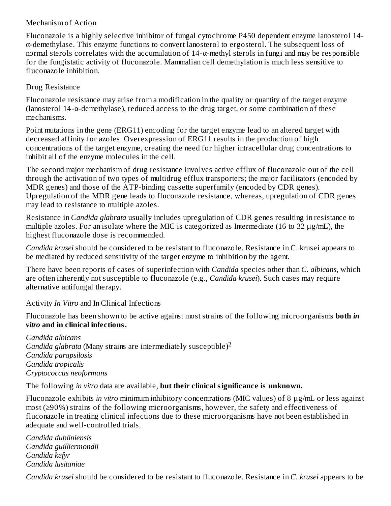#### Mechanism of Action

Fluconazole is a highly selective inhibitor of fungal cytochrome P450 dependent enzyme lanosterol 14 α-demethylase. This enzyme functions to convert lanosterol to ergosterol. The subsequent loss of normal sterols correlates with the accumulation of 14-α-methyl sterols in fungi and may be responsible for the fungistatic activity of fluconazole. Mammalian cell demethylation is much less sensitive to fluconazole inhibition.

#### Drug Resistance

Fluconazole resistance may arise from a modification in the quality or quantity of the target enzyme (lanosterol 14-α-demethylase), reduced access to the drug target, or some combination of these mechanisms.

Point mutations in the gene (ERG11) encoding for the target enzyme lead to an altered target with decreased affinity for azoles. Overexpression of ERG11 results in the production of high concentrations of the target enzyme, creating the need for higher intracellular drug concentrations to inhibit all of the enzyme molecules in the cell.

The second major mechanism of drug resistance involves active efflux of fluconazole out of the cell through the activation of two types of multidrug efflux transporters; the major facilitators (encoded by MDR genes) and those of the ATP-binding cassette superfamily (encoded by CDR genes). Upregulation of the MDR gene leads to fluconazole resistance, whereas, upregulation of CDR genes may lead to resistance to multiple azoles.

Resistance in *Candida glabrata* usually includes upregulation of CDR genes resulting in resistance to multiple azoles. For an isolate where the MIC is categorized as Intermediate (16 to 32 µg/mL), the highest fluconazole dose is recommended.

*Candida krusei* should be considered to be resistant to fluconazole. Resistance in C. krusei appears to be mediated by reduced sensitivity of the target enzyme to inhibition by the agent.

There have been reports of cases of superinfection with *Candida* species other than *C. albicans*, which are often inherently not susceptible to fluconazole (e.g., *Candida krusei*). Such cases may require alternative antifungal therapy.

Activity *In Vitro* and In Clinical Infections

Fluconazole has been shown to be active against most strains of the following microorganisms **both** *in vitro* **and in clinical infections.**

*Candida albicans Candida glabrata* (Many strains are intermediately susceptible) 2*Candida parapsilosis Candida tropicalis Cryptococcus neoformans*

The following *in vitro* data are available, **but their clinical significance is unknown.**

Fluconazole exhibits *in vitro* minimum inhibitory concentrations (MIC values) of 8 µg/mL or less against most (≥90%) strains of the following microorganisms, however, the safety and effectiveness of fluconazole in treating clinical infections due to these microorganisms have not been established in adequate and well-controlled trials.

*Candida dubliniensis Candida guilliermondii Candida kefyr Candida lusitaniae*

*Candida krusei* should be considered to be resistant to fluconazole. Resistance in *C. krusei* appears to be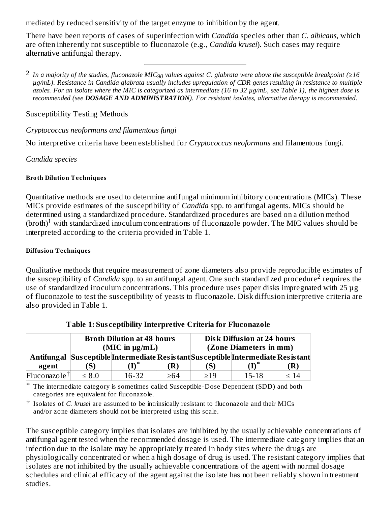mediated by reduced sensitivity of the target enzyme to inhibition by the agent.

There have been reports of cases of superinfection with *Candida* species other than *C. albicans,* which are often inherently not susceptible to fluconazole (e.g., *Candida krusei*). Such cases may require alternative antifungal therapy.

 $^2$  In a majority of the studies, fluconazole MIC<sub>90</sub> values against C. glabrata were above the susceptible breakpoint (≥16 µq/mL). Resistance in Candida glabrata usually includes upregulation of CDR genes resulting in resistance to multiple azoles. For an isolate where the MIC is categorized as intermediate (16 to 32 µg/mL, see Table 1), the highest dose is *recommended (see DOSAGE AND ADMINISTRATION). For resistant isolates, alternative therapy is recommended.*

#### Susceptibility Testing Methods

#### *Cryptococcus neoformans and filamentous fungi*

No interpretive criteria have been established for *Cryptococcus neoformans* and filamentous fungi*.*

#### *Candida species*

#### **Broth Dilution Techniques**

Quantitative methods are used to determine antifungal minimum inhibitory concentrations (MICs). These MICs provide estimates of the susceptibility of *Candida* spp. to antifungal agents. MICs should be determined using a standardized procedure. Standardized procedures are based on a dilution method (broth)<sup>1</sup> with standardized inoculum concentrations of fluconazole powder. The MIC values should be interpreted according to the criteria provided in Table 1.

#### **Diffusion Techniques**

Qualitative methods that require measurement of zone diameters also provide reproducible estimates of the susceptibility of *Candida* spp. to an antifungal agent. One such standardized procedure<sup>2</sup> requires the use of standardized inoculum concentrations. This procedure uses paper disks impregnated with 25 µg of fluconazole to test the susceptibility of yeasts to fluconazole. Disk diffusion interpretive criteria are also provided in Table 1.

|                          | <b>Broth Dilution at 48 hours</b> |                  | Disk Diffusion at 24 hours |     |                                                                                  |      |
|--------------------------|-----------------------------------|------------------|----------------------------|-----|----------------------------------------------------------------------------------|------|
|                          | (MIC in $\mu$ g/mL)               |                  | (Zone Diameters in mm)     |     |                                                                                  |      |
|                          |                                   |                  |                            |     | Antifungal Susceptible Intermediate Resistant Susceptible Intermediate Resistant |      |
| agent                    | 'S)                               | $\mathbf{(I)^*}$ | (R)                        | (S) |                                                                                  | (R)  |
| Fluconazole <sup>†</sup> | $\leq 8.0$                        | $16 - 32$        | >64                        | >19 | 15-18                                                                            | < 14 |

#### **Table 1: Sus ceptibility Interpretive Criteria for Fluconazole**

\* The intermediate category is sometimes called Susceptible-Dose Dependent (SDD) and both categories are equivalent for fluconazole.

† Isolates of *C. krusei* are assumed to be intrinsically resistant to fluconazole and their MICs and/or zone diameters should not be interpreted using this scale.

The susceptible category implies that isolates are inhibited by the usually achievable concentrations of antifungal agent tested when the recommended dosage is used. The intermediate category implies that an infection due to the isolate may be appropriately treated in body sites where the drugs are physiologically concentrated or when a high dosage of drug is used. The resistant category implies that isolates are not inhibited by the usually achievable concentrations of the agent with normal dosage schedules and clinical efficacy of the agent against the isolate has not been reliably shown in treatment studies.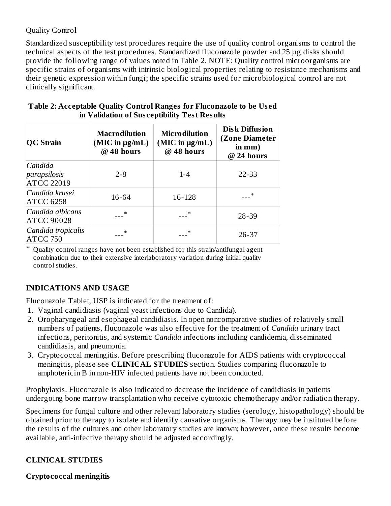### Quality Control

Standardized susceptibility test procedures require the use of quality control organisms to control the technical aspects of the test procedures. Standardized fluconazole powder and 25 µg disks should provide the following range of values noted in Table 2. NOTE: Quality control microorganisms are specific strains of organisms with intrinsic biological properties relating to resistance mechanisms and their genetic expression within fungi; the specific strains used for microbiological control are not clinically significant.

| <b>QC Strain</b>                             | Macrodilution<br>(MIC in $\mu$ g/mL)<br>$@$ 48 hours | Microdilution<br>$(MIC$ in $\mu g/mL)$<br>@ 48 hours | <b>Disk Diffusion</b><br>(Zone Diameter<br>in mm)<br>@ 24 hours |
|----------------------------------------------|------------------------------------------------------|------------------------------------------------------|-----------------------------------------------------------------|
| Candida<br>parapsilosis<br><b>ATCC 22019</b> | $2 - 8$                                              | $1 - 4$                                              | 22-33                                                           |
| Candida krusei<br><b>ATCC 6258</b>           | 16-64                                                | 16-128                                               |                                                                 |
| Candida albicans<br><b>ATCC 90028</b>        |                                                      |                                                      | 28-39                                                           |
| Candida tropicalis<br><b>ATCC 750</b>        |                                                      |                                                      | $26 - 37$                                                       |

#### **Table 2: Acceptable Quality Control Ranges for Fluconazole to be Us ed in Validation of Sus ceptibility Test Results**

\* Quality control ranges have not been established for this strain/antifungal agent combination due to their extensive interlaboratory variation during initial quality control studies.

# **INDICATIONS AND USAGE**

Fluconazole Tablet, USP is indicated for the treatment of:

- 1. Vaginal candidiasis (vaginal yeast infections due to Candida).
- 2. Oropharyngeal and esophageal candidiasis. In open noncomparative studies of relatively small numbers of patients, fluconazole was also effective for the treatment of *Candida* urinary tract infections, peritonitis, and systemic *Candida* infections including candidemia, disseminated candidiasis, and pneumonia.
- 3. Cryptococcal meningitis. Before prescribing fluconazole for AIDS patients with cryptococcal meningitis, please see **CLINICAL STUDIES** section. Studies comparing fluconazole to amphotericin B in non-HIV infected patients have not been conducted.

Prophylaxis. Fluconazole is also indicated to decrease the incidence of candidiasis in patients undergoing bone marrow transplantation who receive cytotoxic chemotherapy and/or radiation therapy.

Specimens for fungal culture and other relevant laboratory studies (serology, histopathology) should be obtained prior to therapy to isolate and identify causative organisms. Therapy may be instituted before the results of the cultures and other laboratory studies are known; however, once these results become available, anti-infective therapy should be adjusted accordingly.

# **CLINICAL STUDIES**

#### **Cryptococcal meningitis**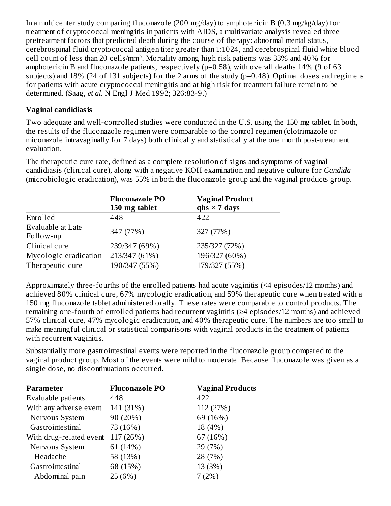In a multicenter study comparing fluconazole (200 mg/day) to amphotericin B (0.3 mg/kg/day) for treatment of cryptococcal meningitis in patients with AIDS, a multivariate analysis revealed three pretreatment factors that predicted death during the course of therapy: abnormal mental status, cerebrospinal fluid cryptococcal antigen titer greater than 1:1024, and cerebrospinal fluid white blood cell count of less than 20 cells/mm<sup>3</sup>. Mortality among high risk patients was 33% and 40% for amphotericin B and fluconazole patients, respectively (p=0.58), with overall deaths 14% (9 of 63 subjects) and 18% (24 of 131 subjects) for the 2 arms of the study (p=0.48). Optimal doses and regimens for patients with acute cryptococcal meningitis and at high risk for treatment failure remain to be determined. (Saag, *et al.* N Engl J Med 1992; 326:83-9.)

### **Vaginal candidiasis**

Two adequate and well-controlled studies were conducted in the U.S. using the 150 mg tablet. In both, the results of the fluconazole regimen were comparable to the control regimen (clotrimazole or miconazole intravaginally for 7 days) both clinically and statistically at the one month post-treatment evaluation.

The therapeutic cure rate, defined as a complete resolution of signs and symptoms of vaginal candidiasis (clinical cure), along with a negative KOH examination and negative culture for *Candida* (microbiologic eradication), was 55% in both the fluconazole group and the vaginal products group.

|                                | <b>Fluconazole PO</b><br>150 mg tablet | <b>Vaginal Product</b><br>qhs $\times$ 7 days |
|--------------------------------|----------------------------------------|-----------------------------------------------|
| Enrolled                       | 448                                    | 422                                           |
| Evaluable at Late<br>Follow-up | 347 (77%)                              | 327 (77%)                                     |
| Clinical cure                  | 239/347 (69%)                          | 235/327 (72%)                                 |
| Mycologic eradication          | 213/347 (61%)                          | 196/327 (60%)                                 |
| Therapeutic cure               | 190/347 (55%)                          | 179/327 (55%)                                 |

Approximately three-fourths of the enrolled patients had acute vaginitis (<4 episodes/12 months) and achieved 80% clinical cure, 67% mycologic eradication, and 59% therapeutic cure when treated with a 150 mg fluconazole tablet administered orally. These rates were comparable to control products. The remaining one-fourth of enrolled patients had recurrent vaginitis (≥4 episodes/12 months) and achieved 57% clinical cure, 47% mycologic eradication, and 40% therapeutic cure. The numbers are too small to make meaningful clinical or statistical comparisons with vaginal products in the treatment of patients with recurrent vaginitis.

Substantially more gastrointestinal events were reported in the fluconazole group compared to the vaginal product group. Most of the events were mild to moderate. Because fluconazole was given as a single dose, no discontinuations occurred.

| <b>Parameter</b>        | <b>Fluconazole PO</b> | <b>Vaginal Products</b> |
|-------------------------|-----------------------|-------------------------|
| Evaluable patients      | 448                   | 422                     |
| With any adverse event  | 141 (31%)             | 112 (27%)               |
| Nervous System          | 90 (20%)              | 69 (16%)                |
| Gastrointestinal        | 73 (16%)              | 18 (4%)                 |
| With drug-related event | 117 (26%)             | 67 (16%)                |
| Nervous System          | 61 (14%)              | 29 (7%)                 |
| Headache                | 58 (13%)              | 28 (7%)                 |
| Gastrointestinal        | 68 (15%)              | 13 (3%)                 |
| Abdominal pain          | 25(6%)                | 7(2%)                   |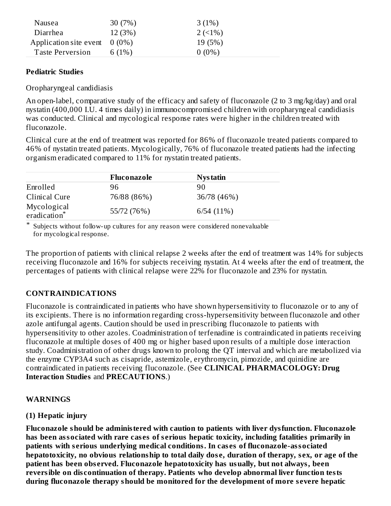| Nausea                          | 30(7%)   | 3(1%)    |
|---------------------------------|----------|----------|
| Diarrhea                        | 12(3%)   | $2(1\%)$ |
| Application site event $0(0\%)$ |          | 19 (5%)  |
| Taste Perversion                | 6 $(1%)$ | $0(0\%)$ |

### **Pediatric Studies**

Oropharyngeal candidiasis

An open-label, comparative study of the efficacy and safety of fluconazole (2 to 3 mg/kg/day) and oral nystatin (400,000 I.U. 4 times daily) in immunocompromised children with oropharyngeal candidiasis was conducted. Clinical and mycological response rates were higher in the children treated with fluconazole.

Clinical cure at the end of treatment was reported for 86% of fluconazole treated patients compared to 46% of nystatin treated patients. Mycologically, 76% of fluconazole treated patients had the infecting organism eradicated compared to 11% for nystatin treated patients.

|                             | Fluconazole | <b>Nystatin</b> |
|-----------------------------|-------------|-----------------|
| Enrolled                    | 96          | 90              |
| Clinical Cure               | 76/88 (86%) | 36/78 (46%)     |
| Mycological<br>eradication* | 55/72 (76%) | 6/54(11%)       |

\* Subjects without follow-up cultures for any reason were considered nonevaluable for mycological response.

The proportion of patients with clinical relapse 2 weeks after the end of treatment was 14% for subjects receiving fluconazole and 16% for subjects receiving nystatin. At 4 weeks after the end of treatment, the percentages of patients with clinical relapse were 22% for fluconazole and 23% for nystatin.

# **CONTRAINDICATIONS**

Fluconazole is contraindicated in patients who have shown hypersensitivity to fluconazole or to any of its excipients. There is no information regarding cross-hypersensitivity between fluconazole and other azole antifungal agents. Caution should be used in prescribing fluconazole to patients with hypersensitivity to other azoles. Coadministration of terfenadine is contraindicated in patients receiving fluconazole at multiple doses of 400 mg or higher based upon results of a multiple dose interaction study. Coadministration of other drugs known to prolong the QT interval and which are metabolized via the enzyme CYP3A4 such as cisapride, astemizole, erythromycin, pimozide, and quinidine are contraindicated in patients receiving fluconazole. (See **CLINICAL PHARMACOLOGY: Drug Interaction Studies** and **PRECAUTIONS**.)

#### **WARNINGS**

# **(1) Hepatic injury**

**Fluconazole should be administered with caution to patients with liver dysfunction. Fluconazole has been associated with rare cas es of s erious hepatic toxicity, including fatalities primarily in patients with s erious underlying medical conditions. In cas es of fluconazole-associated** hepatotoxicity, no obvious relationship to total daily dose, duration of therapy, sex, or age of the **patient has been obs erved. Fluconazole hepatotoxicity has usually, but not always, been reversible on dis continuation of therapy. Patients who develop abnormal liver function tests during fluconazole therapy should be monitored for the development of more s evere hepatic**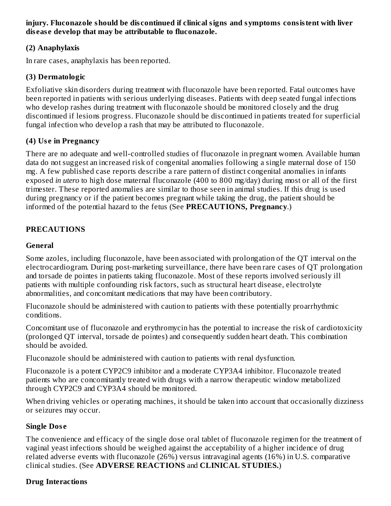**injury. Fluconazole should be dis continued if clinical signs and symptoms consistent with liver dis eas e develop that may be attributable to fluconazole.**

### **(2) Anaphylaxis**

In rare cases, anaphylaxis has been reported.

### **(3) Dermatologic**

Exfoliative skin disorders during treatment with fluconazole have been reported. Fatal outcomes have been reported in patients with serious underlying diseases. Patients with deep seated fungal infections who develop rashes during treatment with fluconazole should be monitored closely and the drug discontinued if lesions progress. Fluconazole should be discontinued in patients treated for superficial fungal infection who develop a rash that may be attributed to fluconazole.

### **(4) Us e in Pregnancy**

There are no adequate and well-controlled studies of fluconazole in pregnant women. Available human data do not suggest an increased risk of congenital anomalies following a single maternal dose of 150 mg. A few published case reports describe a rare pattern of distinct congenital anomalies in infants exposed *in utero* to high dose maternal fluconazole (400 to 800 mg/day) during most or all of the first trimester. These reported anomalies are similar to those seen in animal studies. If this drug is used during pregnancy or if the patient becomes pregnant while taking the drug, the patient should be informed of the potential hazard to the fetus (See **PRECAUTIONS, Pregnancy**.)

### **PRECAUTIONS**

#### **General**

Some azoles, including fluconazole, have been associated with prolongation of the QT interval on the electrocardiogram. During post-marketing surveillance, there have been rare cases of QT prolongation and torsade de pointes in patients taking fluconazole. Most of these reports involved seriously ill patients with multiple confounding risk factors, such as structural heart disease, electrolyte abnormalities, and concomitant medications that may have been contributory.

Fluconazole should be administered with caution to patients with these potentially proarrhythmic conditions.

Concomitant use of fluconazole and erythromycin has the potential to increase the risk of cardiotoxicity (prolonged QT interval, torsade de pointes) and consequently sudden heart death. This combination should be avoided.

Fluconazole should be administered with caution to patients with renal dysfunction.

Fluconazole is a potent CYP2C9 inhibitor and a moderate CYP3A4 inhibitor. Fluconazole treated patients who are concomitantly treated with drugs with a narrow therapeutic window metabolized through CYP2C9 and CYP3A4 should be monitored.

When driving vehicles or operating machines, it should be taken into account that occasionally dizziness or seizures may occur.

# **Single Dos e**

The convenience and efficacy of the single dose oral tablet of fluconazole regimen for the treatment of vaginal yeast infections should be weighed against the acceptability of a higher incidence of drug related adverse events with fluconazole (26%) versus intravaginal agents (16%) in U.S. comparative clinical studies. (See **ADVERSE REACTIONS** and **CLINICAL STUDIES.**)

#### **Drug Interactions**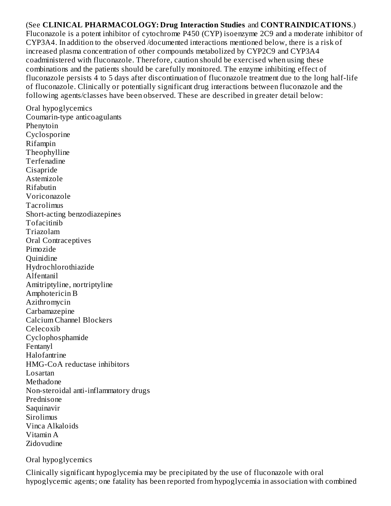#### (See **CLINICAL PHARMACOLOGY: Drug Interaction Studies** and **CONTRAINDICATIONS**.)

Fluconazole is a potent inhibitor of cytochrome P450 (CYP) isoenzyme 2C9 and a moderate inhibitor of CYP3A4. In addition to the observed /documented interactions mentioned below, there is a risk of increased plasma concentration of other compounds metabolized by CYP2C9 and CYP3A4 coadministered with fluconazole. Therefore, caution should be exercised when using these combinations and the patients should be carefully monitored. The enzyme inhibiting effect of fluconazole persists 4 to 5 days after discontinuation of fluconazole treatment due to the long half-life of fluconazole. Clinically or potentially significant drug interactions between fluconazole and the following agents/classes have been observed. These are described in greater detail below:

Oral hypoglycemics Coumarin-type anticoagulants Phenytoin Cyclosporine Rifampin Theophylline Terfenadine Cisapride Astemizole Rifabutin Voriconazole Tacrolimus Short-acting benzodiazepines Tofacitinib Triazolam Oral Contraceptives Pimozide Quinidine Hydrochlorothiazide Alfentanil Amitriptyline, nortriptyline Amphotericin B Azithromycin Carbamazepine Calcium Channel Blockers Celecoxib Cyclophosphamide Fentanyl Halofantrine HMG-CoA reductase inhibitors Losartan Methadone Non-steroidal anti-inflammatory drugs Prednisone Saquinavir **Sirolimus** Vinca Alkaloids Vitamin A Zidovudine

Oral hypoglycemics

Clinically significant hypoglycemia may be precipitated by the use of fluconazole with oral hypoglycemic agents; one fatality has been reported from hypoglycemia in association with combined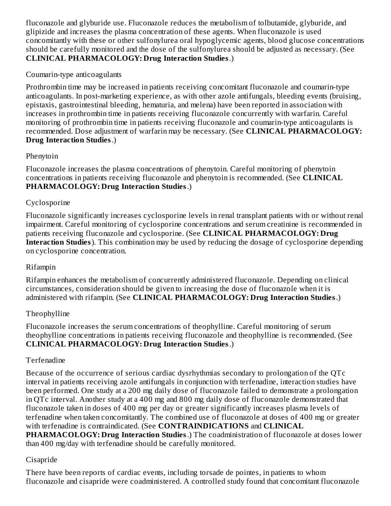fluconazole and glyburide use. Fluconazole reduces the metabolism of tolbutamide, glyburide, and glipizide and increases the plasma concentration of these agents. When fluconazole is used concomitantly with these or other sulfonylurea oral hypoglycemic agents, blood glucose concentrations should be carefully monitored and the dose of the sulfonylurea should be adjusted as necessary. (See **CLINICAL PHARMACOLOGY: Drug Interaction Studies**.)

### Coumarin-type anticoagulants

Prothrombin time may be increased in patients receiving concomitant fluconazole and coumarin-type anticoagulants. In post-marketing experience, as with other azole antifungals, bleeding events (bruising, epistaxis, gastrointestinal bleeding, hematuria, and melena) have been reported in association with increases in prothrombin time in patients receiving fluconazole concurrently with warfarin. Careful monitoring of prothrombin time in patients receiving fluconazole and coumarin-type anticoagulants is recommended. Dose adjustment of warfarin may be necessary. (See **CLINICAL PHARMACOLOGY: Drug Interaction Studies**.)

### Phenytoin

Fluconazole increases the plasma concentrations of phenytoin. Careful monitoring of phenytoin concentrations in patients receiving fluconazole and phenytoin is recommended. (See **CLINICAL PHARMACOLOGY: Drug Interaction Studies**.)

### Cyclosporine

Fluconazole significantly increases cyclosporine levels in renal transplant patients with or without renal impairment. Careful monitoring of cyclosporine concentrations and serum creatinine is recommended in patients receiving fluconazole and cyclosporine. (See **CLINICAL PHARMACOLOGY: Drug Interaction Studies**). This combination may be used by reducing the dosage of cyclosporine depending on cyclosporine concentration.

#### Rifampin

Rifampin enhances the metabolism of concurrently administered fluconazole. Depending on clinical circumstances, consideration should be given to increasing the dose of fluconazole when it is administered with rifampin. (See **CLINICAL PHARMACOLOGY: Drug Interaction Studies**.)

# Theophylline

Fluconazole increases the serum concentrations of theophylline. Careful monitoring of serum theophylline concentrations in patients receiving fluconazole and theophylline is recommended. (See **CLINICAL PHARMACOLOGY: Drug Interaction Studies**.)

# Terfenadine

Because of the occurrence of serious cardiac dysrhythmias secondary to prolongation of the QTc interval in patients receiving azole antifungals in conjunction with terfenadine, interaction studies have been performed. One study at a 200 mg daily dose of fluconazole failed to demonstrate a prolongation in QTc interval. Another study at a 400 mg and 800 mg daily dose of fluconazole demonstrated that fluconazole taken in doses of 400 mg per day or greater significantly increases plasma levels of terfenadine when taken concomitantly. The combined use of fluconazole at doses of 400 mg or greater with terfenadine is contraindicated. (See **CONTRAINDICATIONS** and **CLINICAL PHARMACOLOGY: Drug Interaction Studies**.) The coadministration of fluconazole at doses lower than 400 mg/day with terfenadine should be carefully monitored.

# Cisapride

There have been reports of cardiac events, including torsade de pointes, in patients to whom fluconazole and cisapride were coadministered. A controlled study found that concomitant fluconazole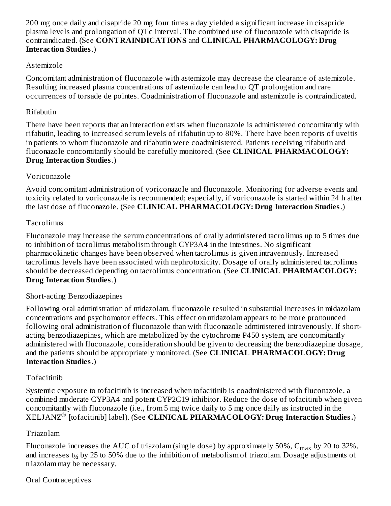200 mg once daily and cisapride 20 mg four times a day yielded a significant increase in cisapride plasma levels and prolongation of QTc interval. The combined use of fluconazole with cisapride is contraindicated. (See **CONTRAINDICATIONS** and **CLINICAL PHARMACOLOGY: Drug Interaction Studies**.)

### Astemizole

Concomitant administration of fluconazole with astemizole may decrease the clearance of astemizole. Resulting increased plasma concentrations of astemizole can lead to QT prolongation and rare occurrences of torsade de pointes. Coadministration of fluconazole and astemizole is contraindicated.

### Rifabutin

There have been reports that an interaction exists when fluconazole is administered concomitantly with rifabutin, leading to increased serum levels of rifabutin up to 80%. There have been reports of uveitis in patients to whom fluconazole and rifabutin were coadministered. Patients receiving rifabutin and fluconazole concomitantly should be carefully monitored. (See **CLINICAL PHARMACOLOGY: Drug Interaction Studies**.)

### Voriconazole

Avoid concomitant administration of voriconazole and fluconazole. Monitoring for adverse events and toxicity related to voriconazole is recommended; especially, if voriconazole is started within 24 h after the last dose of fluconazole. (See **CLINICAL PHARMACOLOGY: Drug Interaction Studies**.)

# Tacrolimus

Fluconazole may increase the serum concentrations of orally administered tacrolimus up to 5 times due to inhibition of tacrolimus metabolism through CYP3A4 in the intestines. No significant pharmacokinetic changes have been observed when tacrolimus is given intravenously. Increased tacrolimus levels have been associated with nephrotoxicity. Dosage of orally administered tacrolimus should be decreased depending on tacrolimus concentration. (See **CLINICAL PHARMACOLOGY: Drug Interaction Studies**.)

#### Short-acting Benzodiazepines

Following oral administration of midazolam, fluconazole resulted in substantial increases in midazolam concentrations and psychomotor effects. This effect on midazolam appears to be more pronounced following oral administration of fluconazole than with fluconazole administered intravenously. If shortacting benzodiazepines, which are metabolized by the cytochrome P450 system, are concomitantly administered with fluconazole, consideration should be given to decreasing the benzodiazepine dosage, and the patients should be appropriately monitored. (See **CLINICAL PHARMACOLOGY: Drug Interaction Studies.**)

#### Tofacitinib

Systemic exposure to tofacitinib is increased when tofacitinib is coadministered with fluconazole, a combined moderate CYP3A4 and potent CYP2C19 inhibitor. Reduce the dose of tofacitinib when given concomitantly with fluconazole (i.e., from 5 mg twice daily to 5 mg once daily as instructed in the  $XELJANZ<sup>®</sup>$  [tofacitinib] label). (See **CLINICAL PHARMACOLOGY: Drug Interaction Studies.)** 

# Triazolam

Fluconazole increases the AUC of triazolam (single dose) by approximately 50%,  $\rm{C_{max}}$  by 20 to 32%, and increases  $t_{1/2}$  by 25 to 50% due to the inhibition of metabolism of triazolam. Dosage adjustments of triazolam may be necessary.

#### Oral Contraceptives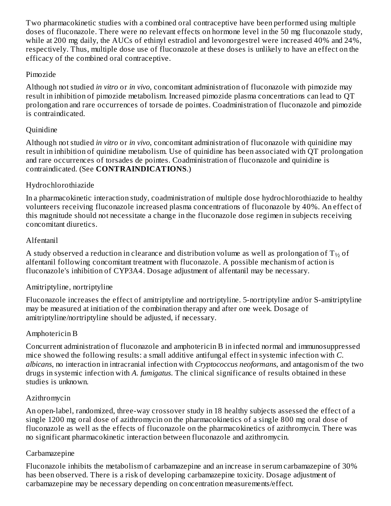Two pharmacokinetic studies with a combined oral contraceptive have been performed using multiple doses of fluconazole. There were no relevant effects on hormone level in the 50 mg fluconazole study, while at 200 mg daily, the AUCs of ethinyl estradiol and levonorgestrel were increased 40% and 24%, respectively. Thus, multiple dose use of fluconazole at these doses is unlikely to have an effect on the efficacy of the combined oral contraceptive.

### Pimozide

Although not studied *in vitro* or *in vivo*, concomitant administration of fluconazole with pimozide may result in inhibition of pimozide metabolism. Increased pimozide plasma concentrations can lead to QT prolongation and rare occurrences of torsade de pointes. Coadministration of fluconazole and pimozide is contraindicated.

# **Ouinidine**

Although not studied *in vitro* or *in vivo*, concomitant administration of fluconazole with quinidine may result in inhibition of quinidine metabolism. Use of quinidine has been associated with QT prolongation and rare occurrences of torsades de pointes. Coadministration of fluconazole and quinidine is contraindicated. (See **CONTRAINDICATIONS**.)

# Hydrochlorothiazide

In a pharmacokinetic interaction study, coadministration of multiple dose hydrochlorothiazide to healthy volunteers receiving fluconazole increased plasma concentrations of fluconazole by 40%. An effect of this magnitude should not necessitate a change in the fluconazole dose regimen in subjects receiving concomitant diuretics.

# Alfentanil

A study observed a reduction in clearance and distribution volume as well as prolongation of  $\rm T_{\gamma_2}$  of alfentanil following concomitant treatment with fluconazole. A possible mechanism of action is fluconazole's inhibition of CYP3A4. Dosage adjustment of alfentanil may be necessary.

# Amitriptyline, nortriptyline

Fluconazole increases the effect of amitriptyline and nortriptyline. 5-nortriptyline and/or S-amitriptyline may be measured at initiation of the combination therapy and after one week. Dosage of amitriptyline/nortriptyline should be adjusted, if necessary.

# Amphotericin B

Concurrent administration of fluconazole and amphotericin B in infected normal and immunosuppressed mice showed the following results: a small additive antifungal effect in systemic infection with *C. albicans*, no interaction in intracranial infection with *Cryptococcus neoformans*, and antagonism of the two drugs in systemic infection with *A. fumigatus*. The clinical significance of results obtained in these studies is unknown.

# Azithromycin

An open-label, randomized, three-way crossover study in 18 healthy subjects assessed the effect of a single 1200 mg oral dose of azithromycin on the pharmacokinetics of a single 800 mg oral dose of fluconazole as well as the effects of fluconazole on the pharmacokinetics of azithromycin. There was no significant pharmacokinetic interaction between fluconazole and azithromycin.

# Carbamazepine

Fluconazole inhibits the metabolism of carbamazepine and an increase in serum carbamazepine of 30% has been observed. There is a risk of developing carbamazepine toxicity. Dosage adjustment of carbamazepine may be necessary depending on concentration measurements/effect.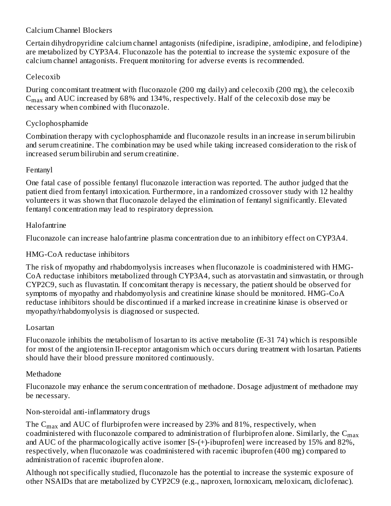# Calcium Channel Blockers

Certain dihydropyridine calcium channel antagonists (nifedipine, isradipine, amlodipine, and felodipine) are metabolized by CYP3A4. Fluconazole has the potential to increase the systemic exposure of the calcium channel antagonists. Frequent monitoring for adverse events is recommended.

# Celecoxib

During concomitant treatment with fluconazole (200 mg daily) and celecoxib (200 mg), the celecoxib  $\rm{C_{max}}$  and AUC increased by 68% and 134%, respectively. Half of the celecoxib dose may be necessary when combined with fluconazole.

### Cyclophosphamide

Combination therapy with cyclophosphamide and fluconazole results in an increase in serum bilirubin and serum creatinine. The combination may be used while taking increased consideration to the risk of increased serum bilirubin and serum creatinine.

#### Fentanyl

One fatal case of possible fentanyl fluconazole interaction was reported. The author judged that the patient died from fentanyl intoxication. Furthermore, in a randomized crossover study with 12 healthy volunteers it was shown that fluconazole delayed the elimination of fentanyl significantly. Elevated fentanyl concentration may lead to respiratory depression.

#### Halofantrine

Fluconazole can increase halofantrine plasma concentration due to an inhibitory effect on CYP3A4.

### HMG-CoA reductase inhibitors

The risk of myopathy and rhabdomyolysis increases when fluconazole is coadministered with HMG-CoA reductase inhibitors metabolized through CYP3A4, such as atorvastatin and simvastatin, or through CYP2C9, such as fluvastatin. If concomitant therapy is necessary, the patient should be observed for symptoms of myopathy and rhabdomyolysis and creatinine kinase should be monitored. HMG-CoA reductase inhibitors should be discontinued if a marked increase in creatinine kinase is observed or myopathy/rhabdomyolysis is diagnosed or suspected.

#### Losartan

Fluconazole inhibits the metabolism of losartan to its active metabolite (E-31 74) which is responsible for most of the angiotensin II-receptor antagonism which occurs during treatment with losartan. Patients should have their blood pressure monitored continuously.

#### Methadone

Fluconazole may enhance the serum concentration of methadone. Dosage adjustment of methadone may be necessary.

# Non-steroidal anti-inflammatory drugs

The  $\rm{C_{max}}$  and AUC of flurbiprofen were increased by 23% and 81%, respectively, when coadministered with fluconazole compared to administration of flurbiprofen alone. Similarly, the  $\mathsf{C}_{\max}$ and AUC of the pharmacologically active isomer [S-(+)-ibuprofen] were increased by 15% and 82%, respectively, when fluconazole was coadministered with racemic ibuprofen (400 mg) compared to administration of racemic ibuprofen alone.

Although not specifically studied, fluconazole has the potential to increase the systemic exposure of other NSAIDs that are metabolized by CYP2C9 (e.g., naproxen, lornoxicam, meloxicam, diclofenac).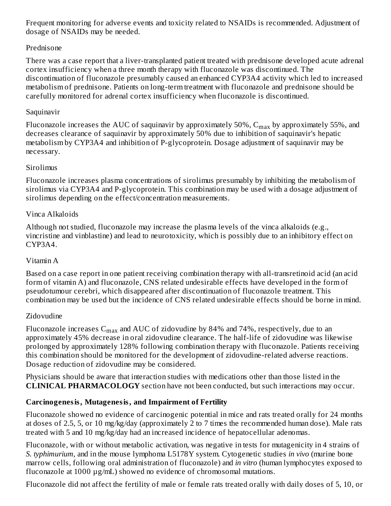Frequent monitoring for adverse events and toxicity related to NSAIDs is recommended. Adjustment of dosage of NSAIDs may be needed.

# Prednisone

There was a case report that a liver-transplanted patient treated with prednisone developed acute adrenal cortex insufficiency when a three month therapy with fluconazole was discontinued. The discontinuation of fluconazole presumably caused an enhanced CYP3A4 activity which led to increased metabolism of prednisone. Patients on long-term treatment with fluconazole and prednisone should be carefully monitored for adrenal cortex insufficiency when fluconazole is discontinued.

### Saquinavir

Fluconazole increases the AUC of saquinavir by approximately 50%,  $\rm{C_{max}}$  by approximately 55%, and decreases clearance of saquinavir by approximately 50% due to inhibition of saquinavir's hepatic metabolism by CYP3A4 and inhibition of P-glycoprotein. Dosage adjustment of saquinavir may be necessary.

### **Sirolimus**

Fluconazole increases plasma concentrations of sirolimus presumably by inhibiting the metabolism of sirolimus via CYP3A4 and P-glycoprotein. This combination may be used with a dosage adjustment of sirolimus depending on the effect/concentration measurements.

# Vinca Alkaloids

Although not studied, fluconazole may increase the plasma levels of the vinca alkaloids (e.g., vincristine and vinblastine) and lead to neurotoxicity, which is possibly due to an inhibitory effect on CYP3A4.

# Vitamin A

Based on a case report in one patient receiving combination therapy with all-transretinoid acid (an acid form of vitamin A) and fluconazole, CNS related undesirable effects have developed in the form of pseudotumour cerebri, which disappeared after discontinuation of fluconazole treatment. This combination may be used but the incidence of CNS related undesirable effects should be borne in mind.

# Zidovudine

Fluconazole increases  $\rm{C_{max}}$  and AUC of zidovudine by 84% and 74%, respectively, due to an approximately 45% decrease in oral zidovudine clearance. The half-life of zidovudine was likewise prolonged by approximately 128% following combination therapy with fluconazole. Patients receiving this combination should be monitored for the development of zidovudine-related adverse reactions. Dosage reduction of zidovudine may be considered.

Physicians should be aware that interaction studies with medications other than those listed in the **CLINICAL PHARMACOLOGY** section have not been conducted, but such interactions may occur.

# **Carcinogenesis, Mutagenesis, and Impairment of Fertility**

Fluconazole showed no evidence of carcinogenic potential in mice and rats treated orally for 24 months at doses of 2.5, 5, or 10 mg/kg/day (approximately 2 to 7 times the recommended human dose). Male rats treated with 5 and 10 mg/kg/day had an increased incidence of hepatocellular adenomas.

Fluconazole, with or without metabolic activation, was negative in tests for mutagenicity in 4 strains of *S. typhimurium*, and in the mouse lymphoma L5178Y system. Cytogenetic studies *in vivo* (murine bone marrow cells, following oral administration of fluconazole) and *in vitro* (human lymphocytes exposed to fluconazole at 1000 µg/mL) showed no evidence of chromosomal mutations.

Fluconazole did not affect the fertility of male or female rats treated orally with daily doses of 5, 10, or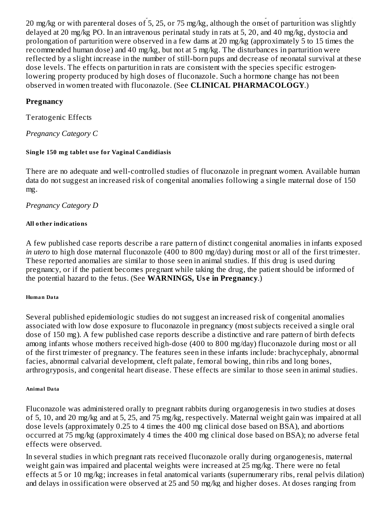Fluconazole did not affect the fertility of male or female rats treated orally with daily doses of 5, 10, or 20 mg/kg or with parenteral doses of 5, 25, or 75 mg/kg, although the onset of parturition was slightly delayed at 20 mg/kg PO. In an intravenous perinatal study in rats at 5, 20, and 40 mg/kg, dystocia and prolongation of parturition were observed in a few dams at 20 mg/kg (approximately 5 to 15 times the recommended human dose) and 40 mg/kg, but not at 5 mg/kg. The disturbances in parturition were reflected by a slight increase in the number of still-born pups and decrease of neonatal survival at these dose levels. The effects on parturition in rats are consistent with the species specific estrogenlowering property produced by high doses of fluconazole. Such a hormone change has not been observed in women treated with fluconazole. (See **CLINICAL PHARMACOLOGY**.)

### **Pregnancy**

Teratogenic Effects

*Pregnancy Category C*

#### **Single 150 mg tablet use for Vaginal Candidiasis**

There are no adequate and well-controlled studies of fluconazole in pregnant women. Available human data do not suggest an increased risk of congenital anomalies following a single maternal dose of 150 mg.

### *Pregnancy Category D*

#### **All other indications**

A few published case reports describe a rare pattern of distinct congenital anomalies in infants exposed *in utero* to high dose maternal fluconazole (400 to 800 mg/day) during most or all of the first trimester. These reported anomalies are similar to those seen in animal studies. If this drug is used during pregnancy, or if the patient becomes pregnant while taking the drug, the patient should be informed of the potential hazard to the fetus. (See **WARNINGS, Us e in Pregnancy**.)

#### **Huma n Da ta**

Several published epidemiologic studies do not suggest an increased risk of congenital anomalies associated with low dose exposure to fluconazole in pregnancy (most subjects received a single oral dose of 150 mg). A few published case reports describe a distinctive and rare pattern of birth defects among infants whose mothers received high-dose (400 to 800 mg/day) fluconazole during most or all of the first trimester of pregnancy. The features seen in these infants include: brachycephaly, abnormal facies, abnormal calvarial development, cleft palate, femoral bowing, thin ribs and long bones, arthrogryposis, and congenital heart disease. These effects are similar to those seen in animal studies.

#### **Anima l Da ta**

Fluconazole was administered orally to pregnant rabbits during organogenesis in two studies at doses of 5, 10, and 20 mg/kg and at 5, 25, and 75 mg/kg, respectively. Maternal weight gain was impaired at all dose levels (approximately 0.25 to 4 times the 400 mg clinical dose based on BSA), and abortions occurred at 75 mg/kg (approximately 4 times the 400 mg clinical dose based on BSA); no adverse fetal effects were observed.

In several studies in which pregnant rats received fluconazole orally during organogenesis, maternal weight gain was impaired and placental weights were increased at 25 mg/kg. There were no fetal effects at 5 or 10 mg/kg; increases in fetal anatomical variants (supernumerary ribs, renal pelvis dilation) and delays in ossification were observed at 25 and 50 mg/kg and higher doses. At doses ranging from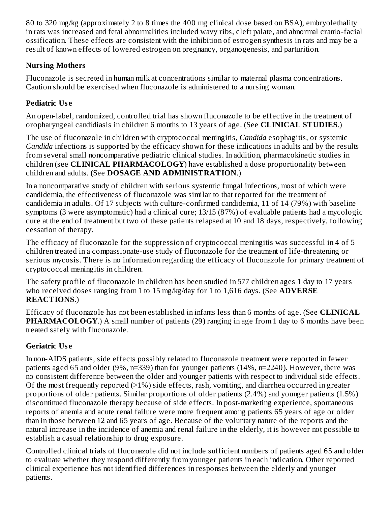80 to 320 mg/kg (approximately 2 to 8 times the 400 mg clinical dose based on BSA), embryolethality in rats was increased and fetal abnormalities included wavy ribs, cleft palate, and abnormal cranio-facial ossification. These effects are consistent with the inhibition of estrogen synthesis in rats and may be a result of known effects of lowered estrogen on pregnancy, organogenesis, and parturition.

# **Nursing Mothers**

Fluconazole is secreted in human milk at concentrations similar to maternal plasma concentrations. Caution should be exercised when fluconazole is administered to a nursing woman.

# **Pediatric Us e**

An open-label, randomized, controlled trial has shown fluconazole to be effective in the treatment of oropharyngeal candidiasis in children 6 months to 13 years of age. (See **CLINICAL STUDIES**.)

The use of fluconazole in children with cryptococcal meningitis, *Candida* esophagitis, or systemic *Candida* infections is supported by the efficacy shown for these indications in adults and by the results from several small noncomparative pediatric clinical studies. In addition, pharmacokinetic studies in children (see **CLINICAL PHARMACOLOGY**) have established a dose proportionality between children and adults. (See **DOSAGE AND ADMINISTRATION**.)

In a noncomparative study of children with serious systemic fungal infections, most of which were candidemia, the effectiveness of fluconazole was similar to that reported for the treatment of candidemia in adults. Of 17 subjects with culture-confirmed candidemia, 11 of 14 (79%) with baseline symptoms (3 were asymptomatic) had a clinical cure; 13/15 (87%) of evaluable patients had a mycologic cure at the end of treatment but two of these patients relapsed at 10 and 18 days, respectively, following cessation of therapy.

The efficacy of fluconazole for the suppression of cryptococcal meningitis was successful in 4 of 5 children treated in a compassionate-use study of fluconazole for the treatment of life-threatening or serious mycosis. There is no information regarding the efficacy of fluconazole for primary treatment of cryptococcal meningitis in children.

The safety profile of fluconazole in children has been studied in 577 children ages 1 day to 17 years who received doses ranging from 1 to 15 mg/kg/day for 1 to 1,616 days. (See **ADVERSE REACTIONS**.)

Efficacy of fluconazole has not been established in infants less than 6 months of age. (See **CLINICAL PHARMACOLOGY.**) A small number of patients (29) ranging in age from 1 day to 6 months have been treated safely with fluconazole.

# **Geriatric Us e**

In non-AIDS patients, side effects possibly related to fluconazole treatment were reported in fewer patients aged 65 and older (9%, n=339) than for younger patients (14%, n=2240). However, there was no consistent difference between the older and younger patients with respect to individual side effects. Of the most frequently reported  $(>1\%)$  side effects, rash, vomiting, and diarrhea occurred in greater proportions of older patients. Similar proportions of older patients (2.4%) and younger patients (1.5%) discontinued fluconazole therapy because of side effects. In post-marketing experience, spontaneous reports of anemia and acute renal failure were more frequent among patients 65 years of age or older than in those between 12 and 65 years of age. Because of the voluntary nature of the reports and the natural increase in the incidence of anemia and renal failure in the elderly, it is however not possible to establish a casual relationship to drug exposure.

Controlled clinical trials of fluconazole did not include sufficient numbers of patients aged 65 and older to evaluate whether they respond differently from younger patients in each indication. Other reported clinical experience has not identified differences in responses between the elderly and younger patients.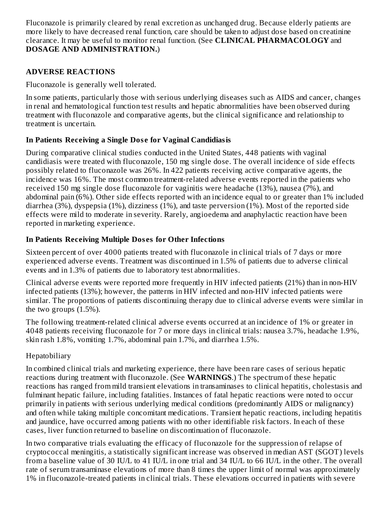Fluconazole is primarily cleared by renal excretion as unchanged drug. Because elderly patients are more likely to have decreased renal function, care should be taken to adjust dose based on creatinine clearance. It may be useful to monitor renal function. (See **CLINICAL PHARMACOLOGY** and **DOSAGE AND ADMINISTRATION.**)

### **ADVERSE REACTIONS**

Fluconazole is generally well tolerated.

In some patients, particularly those with serious underlying diseases such as AIDS and cancer, changes in renal and hematological function test results and hepatic abnormalities have been observed during treatment with fluconazole and comparative agents, but the clinical significance and relationship to treatment is uncertain.

# **In Patients Receiving a Single Dos e for Vaginal Candidiasis**

During comparative clinical studies conducted in the United States, 448 patients with vaginal candidiasis were treated with fluconazole, 150 mg single dose. The overall incidence of side effects possibly related to fluconazole was 26%. In 422 patients receiving active comparative agents, the incidence was 16%. The most common treatment-related adverse events reported in the patients who received 150 mg single dose fluconazole for vaginitis were headache (13%), nausea (7%), and abdominal pain (6%). Other side effects reported with an incidence equal to or greater than 1% included diarrhea (3%), dyspepsia (1%), dizziness (1%), and taste perversion (1%). Most of the reported side effects were mild to moderate in severity. Rarely, angioedema and anaphylactic reaction have been reported in marketing experience.

# **In Patients Receiving Multiple Dos es for Other Infections**

Sixteen percent of over 4000 patients treated with fluconazole in clinical trials of 7 days or more experienced adverse events. Treatment was discontinued in 1.5% of patients due to adverse clinical events and in 1.3% of patients due to laboratory test abnormalities.

Clinical adverse events were reported more frequently in HIV infected patients (21%) than in non-HIV infected patients (13%); however, the patterns in HIV infected and non-HIV infected patients were similar. The proportions of patients discontinuing therapy due to clinical adverse events were similar in the two groups (1.5%).

The following treatment-related clinical adverse events occurred at an incidence of 1% or greater in 4048 patients receiving fluconazole for 7 or more days in clinical trials: nausea 3.7%, headache 1.9%, skin rash 1.8%, vomiting 1.7%, abdominal pain 1.7%, and diarrhea 1.5%.

# Hepatobiliary

In combined clinical trials and marketing experience, there have been rare cases of serious hepatic reactions during treatment with fluconazole. (See **WARNINGS**.) The spectrum of these hepatic reactions has ranged from mild transient elevations in transaminases to clinical hepatitis, cholestasis and fulminant hepatic failure, including fatalities. Instances of fatal hepatic reactions were noted to occur primarily in patients with serious underlying medical conditions (predominantly AIDS or malignancy) and often while taking multiple concomitant medications. Transient hepatic reactions, including hepatitis and jaundice, have occurred among patients with no other identifiable risk factors. In each of these cases, liver function returned to baseline on discontinuation of fluconazole.

In two comparative trials evaluating the efficacy of fluconazole for the suppression of relapse of cryptococcal meningitis, a statistically significant increase was observed in median AST (SGOT) levels from a baseline value of 30 IU/L to 41 IU/L in one trial and 34 IU/L to 66 IU/L in the other. The overall rate of serum transaminase elevations of more than 8 times the upper limit of normal was approximately 1% in fluconazole-treated patients in clinical trials. These elevations occurred in patients with severe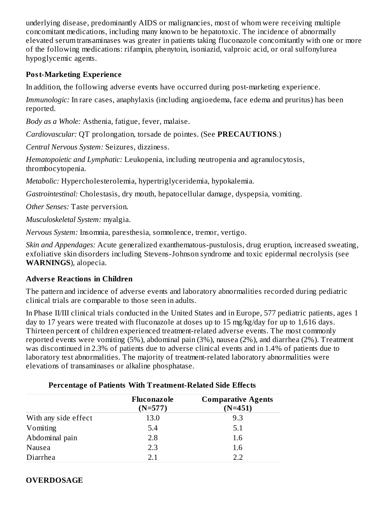underlying disease, predominantly AIDS or malignancies, most of whom were receiving multiple concomitant medications, including many known to be hepatotoxic. The incidence of abnormally elevated serum transaminases was greater in patients taking fluconazole concomitantly with one or more of the following medications: rifampin, phenytoin, isoniazid, valproic acid, or oral sulfonylurea hypoglycemic agents.

#### **Post-Marketing Experience**

In addition, the following adverse events have occurred during post-marketing experience.

*Immunologic:* In rare cases, anaphylaxis (including angioedema, face edema and pruritus) has been reported.

*Body as a Whole:* Asthenia, fatigue, fever, malaise.

*Cardiovascular:* QT prolongation, torsade de pointes. (See **PRECAUTIONS**.)

*Central Nervous System:* Seizures, dizziness.

*Hematopoietic and Lymphatic:* Leukopenia, including neutropenia and agranulocytosis, thrombocytopenia.

*Metabolic:* Hypercholesterolemia, hypertriglyceridemia, hypokalemia.

*Gastrointestinal:* Cholestasis, dry mouth, hepatocellular damage, dyspepsia, vomiting.

*Other Senses:* Taste perversion.

*Musculoskeletal System:* myalgia.

*Nervous System:* Insomnia, paresthesia, somnolence, tremor, vertigo.

*Skin and Appendages:* Acute generalized exanthematous-pustulosis, drug eruption, increased sweating, exfoliative skin disorders including Stevens-Johnson syndrome and toxic epidermal necrolysis (see **WARNINGS**), alopecia.

#### **Advers e Reactions in Children**

The pattern and incidence of adverse events and laboratory abnormalities recorded during pediatric clinical trials are comparable to those seen in adults.

In Phase II/III clinical trials conducted in the United States and in Europe, 577 pediatric patients, ages 1 day to 17 years were treated with fluconazole at doses up to 15 mg/kg/day for up to 1,616 days. Thirteen percent of children experienced treatment-related adverse events. The most commonly reported events were vomiting (5%), abdominal pain (3%), nausea (2%), and diarrhea (2%). Treatment was discontinued in 2.3% of patients due to adverse clinical events and in 1.4% of patients due to laboratory test abnormalities. The majority of treatment-related laboratory abnormalities were elevations of transaminases or alkaline phosphatase.

|                      | Fluconazole<br>$(N=577)$ | <b>Comparative Agents</b><br>$(N=451)$ |
|----------------------|--------------------------|----------------------------------------|
| With any side effect | 13.0                     | 9.3                                    |
| Vomiting             | 5.4                      | 5.1                                    |
| Abdominal pain       | 2.8                      | 1.6                                    |
| Nausea               | 2.3                      | 1.6                                    |
| Diarrhea             | 21                       | 2.2                                    |

#### **Percentage of Patients With Treatment-Related Side Effects**

#### **OVERDOSAGE**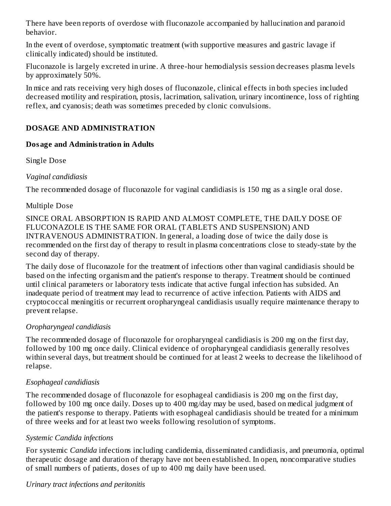There have been reports of overdose with fluconazole accompanied by hallucination and paranoid behavior.

In the event of overdose, symptomatic treatment (with supportive measures and gastric lavage if clinically indicated) should be instituted.

Fluconazole is largely excreted in urine. A three-hour hemodialysis session decreases plasma levels by approximately 50%.

In mice and rats receiving very high doses of fluconazole, clinical effects in both species included decreased motility and respiration, ptosis, lacrimation, salivation, urinary incontinence, loss of righting reflex, and cyanosis; death was sometimes preceded by clonic convulsions.

# **DOSAGE AND ADMINISTRATION**

#### **Dosage and Administration in Adults**

Single Dose

### *Vaginal candidiasis*

The recommended dosage of fluconazole for vaginal candidiasis is 150 mg as a single oral dose.

### Multiple Dose

SINCE ORAL ABSORPTION IS RAPID AND ALMOST COMPLETE, THE DAILY DOSE OF FLUCONAZOLE IS THE SAME FOR ORAL (TABLETS AND SUSPENSION) AND INTRAVENOUS ADMINISTRATION. In general, a loading dose of twice the daily dose is recommended on the first day of therapy to result in plasma concentrations close to steady-state by the second day of therapy.

The daily dose of fluconazole for the treatment of infections other than vaginal candidiasis should be based on the infecting organism and the patient's response to therapy. Treatment should be continued until clinical parameters or laboratory tests indicate that active fungal infection has subsided. An inadequate period of treatment may lead to recurrence of active infection. Patients with AIDS and cryptococcal meningitis or recurrent oropharyngeal candidiasis usually require maintenance therapy to prevent relapse.

#### *Oropharyngeal candidiasis*

The recommended dosage of fluconazole for oropharyngeal candidiasis is 200 mg on the first day, followed by 100 mg once daily. Clinical evidence of oropharyngeal candidiasis generally resolves within several days, but treatment should be continued for at least 2 weeks to decrease the likelihood of relapse.

# *Esophageal candidiasis*

The recommended dosage of fluconazole for esophageal candidiasis is 200 mg on the first day, followed by 100 mg once daily. Doses up to 400 mg/day may be used, based on medical judgment of the patient's response to therapy. Patients with esophageal candidiasis should be treated for a minimum of three weeks and for at least two weeks following resolution of symptoms.

# *Systemic Candida infections*

For systemic *Candida* infections including candidemia, disseminated candidiasis, and pneumonia, optimal therapeutic dosage and duration of therapy have not been established. In open, noncomparative studies of small numbers of patients, doses of up to 400 mg daily have been used.

#### *Urinary tract infections and peritonitis*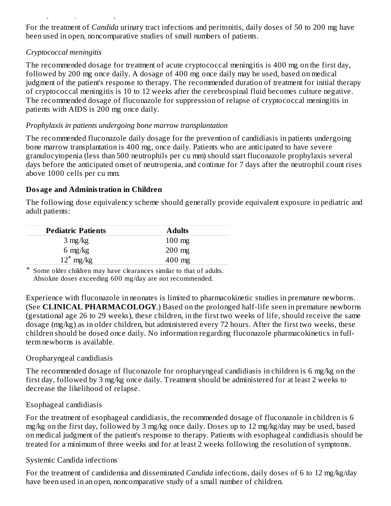For the treatment of *Candida* urinary tract infections and peritonitis, daily doses of 50 to 200 mg have been used in open, noncomparative studies of small numbers of patients.

### *Cryptococcal meningitis*

*Urinary tract infections and peritonitis*

The recommended dosage for treatment of acute cryptococcal meningitis is 400 mg on the first day, followed by 200 mg once daily. A dosage of 400 mg once daily may be used, based on medical judgment of the patient's response to therapy. The recommended duration of treatment for initial therapy of cryptococcal meningitis is 10 to 12 weeks after the cerebrospinal fluid becomes culture negative. The recommended dosage of fluconazole for suppression of relapse of cryptococcal meningitis in patients with AIDS is 200 mg once daily.

### *Prophylaxis in patients undergoing bone marrow transplantation*

The recommended fluconazole daily dosage for the prevention of candidiasis in patients undergoing bone marrow transplantation is 400 mg, once daily. Patients who are anticipated to have severe granulocytopenia (less than 500 neutrophils per cu mm) should start fluconazole prophylaxis several days before the anticipated onset of neutropenia, and continue for 7 days after the neutrophil count rises above 1000 cells per cu mm.

### **Dosage and Administration in Children**

The following dose equivalency scheme should generally provide equivalent exposure in pediatric and adult patients:

| <b>Pediatric Patients</b> | <b>Adults</b>    |
|---------------------------|------------------|
| $3 \text{ mg/kg}$         | $100 \text{ mg}$ |
| 6 mg/kg                   | $200 \text{ mg}$ |
| $12^*$ mg/kg              | $400$ mg         |

\* Some older children may have clearances similar to that of adults. Absolute doses exceeding 600 mg/day are not recommended.

Experience with fluconazole in neonates is limited to pharmacokinetic studies in premature newborns. (See **CLINICAL PHARMACOLOGY**.) Based on the prolonged half-life seen in premature newborns (gestational age 26 to 29 weeks), these children, in the first two weeks of life, should receive the same dosage (mg/kg) as in older children, but administered every 72 hours. After the first two weeks, these children should be dosed once daily. No information regarding fluconazole pharmacokinetics in fullterm newborns is available.

#### Oropharyngeal candidiasis

The recommended dosage of fluconazole for oropharyngeal candidiasis in children is 6 mg/kg on the first day, followed by 3 mg/kg once daily. Treatment should be administered for at least 2 weeks to decrease the likelihood of relapse.

#### Esophageal candidiasis

For the treatment of esophageal candidiasis, the recommended dosage of fluconazole in children is 6 mg/kg on the first day, followed by 3 mg/kg once daily. Doses up to 12 mg/kg/day may be used, based on medical judgment of the patient's response to therapy. Patients with esophageal candidiasis should be treated for a minimum of three weeks and for at least 2 weeks following the resolution of symptoms.

#### Systemic Candida infections

For the treatment of candidemia and disseminated *Candida* infections, daily doses of 6 to 12 mg/kg/day have been used in an open, noncomparative study of a small number of children.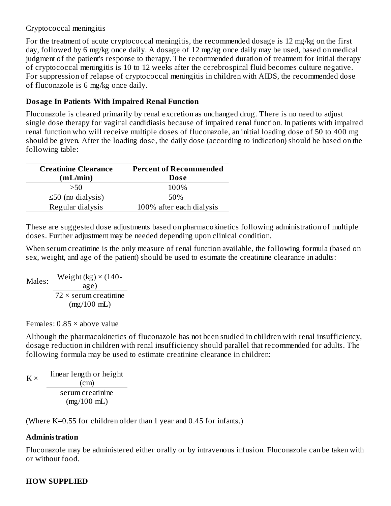### Cryptococcal meningitis

For the treatment of acute cryptococcal meningitis, the recommended dosage is 12 mg/kg on the first day, followed by 6 mg/kg once daily. A dosage of 12 mg/kg once daily may be used, based on medical judgment of the patient's response to therapy. The recommended duration of treatment for initial therapy of cryptococcal meningitis is 10 to 12 weeks after the cerebrospinal fluid becomes culture negative. For suppression of relapse of cryptococcal meningitis in children with AIDS, the recommended dose of fluconazole is 6 mg/kg once daily.

### **Dosage In Patients With Impaired Renal Function**

Fluconazole is cleared primarily by renal excretion as unchanged drug. There is no need to adjust single dose therapy for vaginal candidiasis because of impaired renal function. In patients with impaired renal function who will receive multiple doses of fluconazole, an initial loading dose of 50 to 400 mg should be given. After the loading dose, the daily dose (according to indication) should be based on the following table:

| <b>Creatinine Clearance</b> | <b>Percent of Recommended</b> |
|-----------------------------|-------------------------------|
| (mL/min)                    | <b>Dose</b>                   |
| >50                         | 100%                          |
| $\leq$ 50 (no dialysis)     | 50%                           |
| Regular dialysis            | 100% after each dialysis      |

These are suggested dose adjustments based on pharmacokinetics following administration of multiple doses. Further adjustment may be needed depending upon clinical condition.

When serum creatinine is the only measure of renal function available, the following formula (based on sex, weight, and age of the patient) should be used to estimate the creatinine clearance in adults:

$$
Males: \frac{Weight (kg) \times (140 - 9)}{72 \times 5}
$$
  
 
$$
T2 \times 5 = 72
$$
  
(mg/100 mL)

Females: 0.85 × above value

Although the pharmacokinetics of fluconazole has not been studied in children with renal insufficiency, dosage reduction in children with renal insufficiency should parallel that recommended for adults. The following formula may be used to estimate creatinine clearance in children:

 $K \times$ linear length or height (cm) serum creatinine (mg/100 mL)

(Where K=0.55 for children older than 1 year and 0.45 for infants.)

# **Administration**

Fluconazole may be administered either orally or by intravenous infusion. Fluconazole can be taken with or without food.

# **HOW SUPPLIED**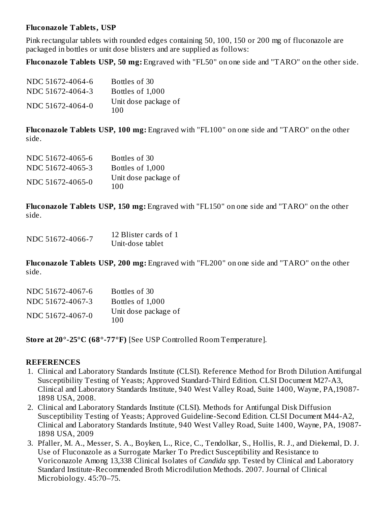#### **Fluconazole Tablets, USP**

Pink rectangular tablets with rounded edges containing 50, 100, 150 or 200 mg of fluconazole are packaged in bottles or unit dose blisters and are supplied as follows:

**Fluconazole Tablets USP, 50 mg:** Engraved with "FL50" on one side and "TARO" on the other side.

| NDC 51672-4064-6 | Bottles of 30               |
|------------------|-----------------------------|
| NDC 51672-4064-3 | Bottles of 1,000            |
| NDC 51672-4064-0 | Unit dose package of<br>100 |

**Fluconazole Tablets USP, 100 mg:** Engraved with "FL100" on one side and "TARO" on the other side.

| NDC 51672-4065-6 | Bottles of 30               |
|------------------|-----------------------------|
| NDC 51672-4065-3 | Bottles of 1,000            |
| NDC 51672-4065-0 | Unit dose package of<br>100 |

**Fluconazole Tablets USP, 150 mg:** Engraved with "FL150" on one side and "TARO" on the other side.

| NDC 51672-4066-7 | 12 Blister cards of 1 |  |  |
|------------------|-----------------------|--|--|
|                  | Unit-dose tablet      |  |  |

**Fluconazole Tablets USP, 200 mg:** Engraved with "FL200" on one side and "TARO" on the other side.

| NDC 51672-4067-6 | Bottles of 30               |
|------------------|-----------------------------|
| NDC 51672-4067-3 | Bottles of 1,000            |
| NDC 51672-4067-0 | Unit dose package of<br>100 |

**Store at 20°-25°C (68°-77°F)** [See USP Controlled Room Temperature].

#### **REFERENCES**

- 1. Clinical and Laboratory Standards Institute (CLSI). Reference Method for Broth Dilution Antifungal Susceptibility Testing of Yeasts; Approved Standard-Third Edition. CLSI Document M27-A3, Clinical and Laboratory Standards Institute, 940 West Valley Road, Suite 1400, Wayne, PA,19087- 1898 USA, 2008.
- 2. Clinical and Laboratory Standards Institute (CLSI). Methods for Antifungal Disk Diffusion Susceptibility Testing of Yeasts; Approved Guideline-Second Edition. CLSI Document M44-A2, Clinical and Laboratory Standards Institute, 940 West Valley Road, Suite 1400, Wayne, PA, 19087- 1898 USA, 2009
- 3. Pfaller, M. A., Messer, S. A., Boyken, L., Rice, C., Tendolkar, S., Hollis, R. J., and Diekemal, D. J. Use of Fluconazole as a Surrogate Marker To Predict Susceptibility and Resistance to Voriconazole Among 13,338 Clinical Isolates of *Candida spp.* Tested by Clinical and Laboratory Standard Institute-Recommended Broth Microdilution Methods. 2007. Journal of Clinical Microbiology. 45:70–75.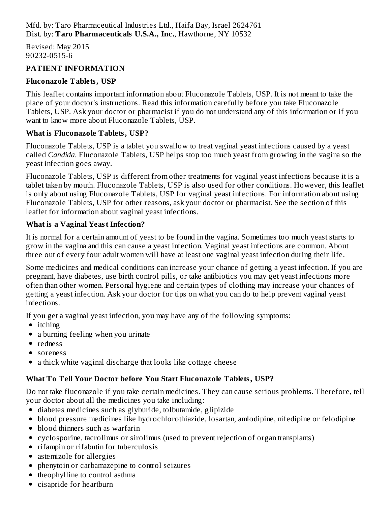Revised: May 2015 90232-0515-6

# **PATIENT INFORMATION**

# **Fluconazole Tablets, USP**

This leaflet contains important information about Fluconazole Tablets, USP. It is not meant to take the place of your doctor's instructions. Read this information carefully before you take Fluconazole Tablets, USP. Ask your doctor or pharmacist if you do not understand any of this information or if you want to know more about Fluconazole Tablets, USP.

# **What is Fluconazole Tablets, USP?**

Fluconazole Tablets, USP is a tablet you swallow to treat vaginal yeast infections caused by a yeast called *Candida*. Fluconazole Tablets, USP helps stop too much yeast from growing in the vagina so the yeast infection goes away.

Fluconazole Tablets, USP is different from other treatments for vaginal yeast infections because it is a tablet taken by mouth. Fluconazole Tablets, USP is also used for other conditions. However, this leaflet is only about using Fluconazole Tablets, USP for vaginal yeast infections. For information about using Fluconazole Tablets, USP for other reasons, ask your doctor or pharmacist. See the section of this leaflet for information about vaginal yeast infections.

# **What is a Vaginal Yeast Infection?**

It is normal for a certain amount of yeast to be found in the vagina. Sometimes too much yeast starts to grow in the vagina and this can cause a yeast infection. Vaginal yeast infections are common. About three out of every four adult women will have at least one vaginal yeast infection during their life.

Some medicines and medical conditions can increase your chance of getting a yeast infection. If you are pregnant, have diabetes, use birth control pills, or take antibiotics you may get yeast infections more often than other women. Personal hygiene and certain types of clothing may increase your chances of getting a yeast infection. Ask your doctor for tips on what you can do to help prevent vaginal yeast infections.

If you get a vaginal yeast infection, you may have any of the following symptoms:

- itching
- a burning feeling when you urinate
- redness
- soreness
- a thick white vaginal discharge that looks like cottage cheese

# **What To Tell Your Doctor before You Start Fluconazole Tablets, USP?**

Do not take fluconazole if you take certain medicines. They can cause serious problems. Therefore, tell your doctor about all the medicines you take including:

- diabetes medicines such as glyburide, tolbutamide, glipizide
- blood pressure medicines like hydrochlorothiazide, losartan, amlodipine, nifedipine or felodipine
- blood thinners such as warfarin
- cyclosporine, tacrolimus or sirolimus (used to prevent rejection of organ transplants)
- rifampin or rifabutin for tuberculosis
- astemizole for allergies
- phenytoin or carbamazepine to control seizures
- theophylline to control asthma
- cisapride for heartburn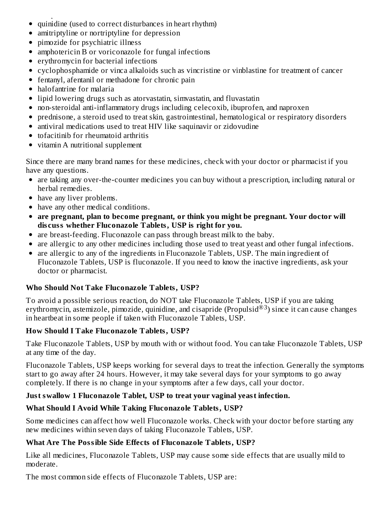- cisapride for heartburn quinidine (used to correct disturbances in heart rhythm)  $\bullet$
- amitriptyline or nortriptyline for depression  $\bullet$
- pimozide for psychiatric illness
- amphotericin B or voriconazole for fungal infections
- erythromycin for bacterial infections
- cyclophosphamide or vinca alkaloids such as vincristine or vinblastine for treatment of cancer
- fentanyl, afentanil or methadone for chronic pain
- halofantrine for malaria
- lipid lowering drugs such as atorvastatin, simvastatin, and fluvastatin
- non-steroidal anti-inflammatory drugs including celecoxib, ibuprofen, and naproxen
- prednisone, a steroid used to treat skin, gastrointestinal, hematological or respiratory disorders
- antiviral medications used to treat HIV like saquinavir or zidovudine
- tofacitinib for rheumatoid arthritis
- vitamin A nutritional supplement

Since there are many brand names for these medicines, check with your doctor or pharmacist if you have any questions.

- are taking any over-the-counter medicines you can buy without a prescription, including natural or herbal remedies.
- have any liver problems.
- have any other medical conditions.
- **are pregnant, plan to become pregnant, or think you might be pregnant. Your doctor will dis cuss whether Fluconazole Tablets, USP is right for you.**
- are breast-feeding. Fluconazole can pass through breast milk to the baby.
- are allergic to any other medicines including those used to treat yeast and other fungal infections.
- are allergic to any of the ingredients in Fluconazole Tablets, USP. The main ingredient of Fluconazole Tablets, USP is fluconazole. If you need to know the inactive ingredients, ask your doctor or pharmacist.

# **Who Should Not Take Fluconazole Tablets, USP?**

To avoid a possible serious reaction, do NOT take Fluconazole Tablets, USP if you are taking erythromycin, astemizole, pimozide, quinidine, and cisapride (Propulsid®3) since it can cause changes in heartbeat in some people if taken with Fluconazole Tablets, USP.

# **How Should I Take Fluconazole Tablets, USP?**

Take Fluconazole Tablets, USP by mouth with or without food. You can take Fluconazole Tablets, USP at any time of the day.

Fluconazole Tablets, USP keeps working for several days to treat the infection. Generally the symptoms start to go away after 24 hours. However, it may take several days for your symptoms to go away completely. If there is no change in your symptoms after a few days, call your doctor.

# **Just swallow 1 Fluconazole Tablet, USP to treat your vaginal yeast infection.**

# **What Should I Avoid While Taking Fluconazole Tablets, USP?**

Some medicines can affect how well Fluconazole works. Check with your doctor before starting any new medicines within seven days of taking Fluconazole Tablets, USP.

# **What Are The Possible Side Effects of Fluconazole Tablets, USP?**

Like all medicines, Fluconazole Tablets, USP may cause some side effects that are usually mild to moderate.

The most common side effects of Fluconazole Tablets, USP are: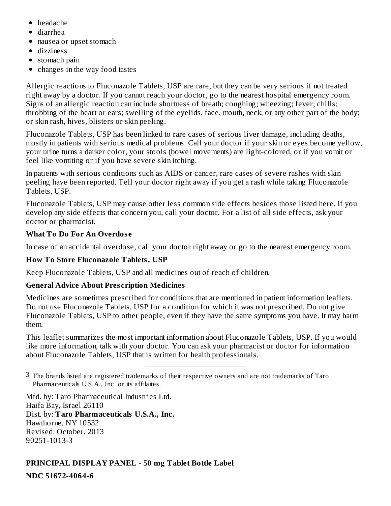- headache
- diarrhea
- nausea or upset stomach
- dizziness
- stomach pain
- changes in the way food tastes  $\bullet$

Allergic reactions to Fluconazole Tablets, USP are rare, but they can be very serious if not treated right away by a doctor. If you cannot reach your doctor, go to the nearest hospital emergency room. Signs of an allergic reaction can include shortness of breath; coughing; wheezing; fever; chills; throbbing of the heart or ears; swelling of the eyelids, face, mouth, neck, or any other part of the body; or skin rash, hives, blisters or skin peeling.

Fluconazole Tablets, USP has been linked to rare cases of serious liver damage, including deaths, mostly in patients with serious medical problems. Call your doctor if your skin or eyes become yellow, your urine turns a darker color, your stools (bowel movements) are light-colored, or if you vomit or feel like vomiting or if you have severe skin itching.

In patients with serious conditions such as AIDS or cancer, rare cases of severe rashes with skin peeling have been reported. Tell your doctor right away if you get a rash while taking Fluconazole Tablets, USP.

Fluconazole Tablets, USP may cause other less common side effects besides those listed here. If you develop any side effects that concern you, call your doctor. For a list of all side effects, ask your doctor or pharmacist.

# **What To Do For An Overdos e**

In case of an accidental overdose, call your doctor right away or go to the nearest emergency room.

# **How To Store Fluconazole Tablets, USP**

Keep Fluconazole Tablets, USP and all medicines out of reach of children.

# **General Advice About Pres cription Medicines**

Medicines are sometimes prescribed for conditions that are mentioned in patient information leaflets. Do not use Fluconazole Tablets, USP for a condition for which it was not prescribed. Do not give Fluconazole Tablets, USP to other people, even if they have the same symptoms you have. It may harm them.

This leaflet summarizes the most important information about Fluconazole Tablets, USP. If you would like more information, talk with your doctor. You can ask your pharmacist or doctor for information about Fluconazole Tablets, USP that is written for health professionals.

 $3\,$  The brands listed are registered trademarks of their respective owners and are not trademarks of Taro Pharmaceuticals U.S.A., Inc. or its affilaites.

Mfd. by: Taro Pharmaceutical Industries Ltd. Haifa Bay, Israel 26110 Dist. by: **Taro Pharmaceuticals U.S.A., Inc.** Hawthorne, NY 10532 Revised: October, 2013 90251-1013-3

# **PRINCIPAL DISPLAY PANEL - 50 mg Tablet Bottle Label**

**NDC 51672-4064-6**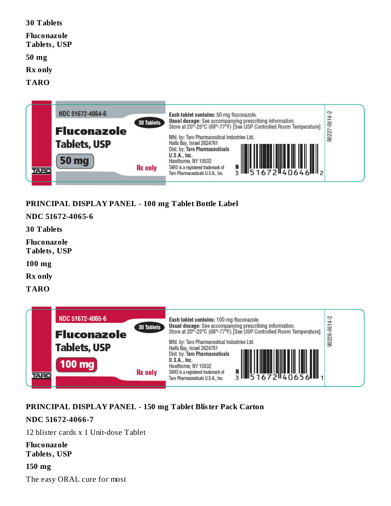| 30 Tablets                         |  |  |
|------------------------------------|--|--|
| Fluconazole<br><b>Tablets, USP</b> |  |  |
| 50 mg                              |  |  |
| <b>Rx</b> only                     |  |  |
| <b>TARO</b>                        |  |  |
|                                    |  |  |



# **PRINCIPAL DISPLAY PANEL - 100 mg Tablet Bottle Label**

**NDC 51672-4065-6**

**30 Tablets**

**Fluconazole Tablets, USP**

**100 mg**

**Rx only**

**TARO**



#### **PRINCIPAL DISPLAY PANEL - 150 mg Tablet Blister Pack Carton**

#### **NDC 51672-4066-7**

12 blister cards x 1 Unit-dose Tablet

**Fluconazole Tablets, USP**

**150 mg** The easy ORAL cure for most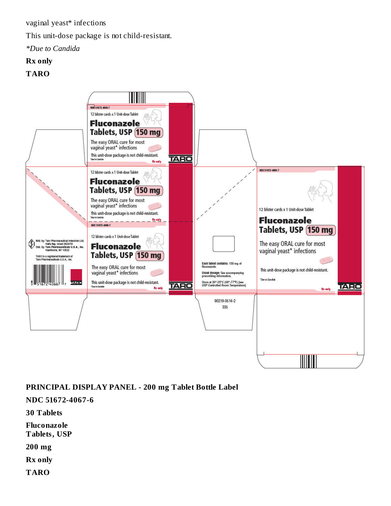vaginal yeast\* infections

This unit-dose package is not child-resistant.

*\*Due to Candida*

# **Rx only**

**TARO**



**PRINCIPAL DISPLAY PANEL - 200 mg Tablet Bottle Label**

**NDC 51672-4067-6**

**30 Tablets**

**Fluconazole**

**Tablets, USP**

**200 mg**

**Rx only**

**TARO**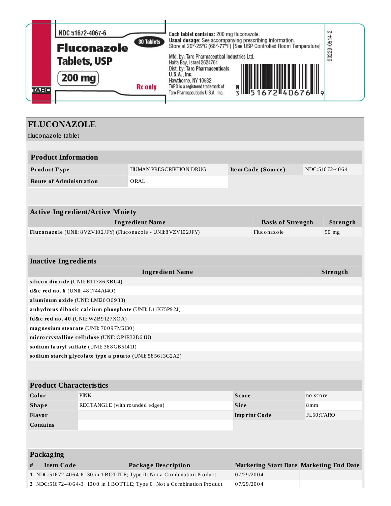|             | NDC 51672-4067-6<br>30 Tablets<br><b>Fluconazole</b><br><b>Tablets, USP</b> | Each tablet contains: 200 mg fluconazole.<br>Usual dosage: See accompanying prescribing information.<br>Store at 20°-25°C (68°-77°F) [See USP Controlled Room Temperature]<br>Mfd. by: Taro Pharmaceutical Industries Ltd.<br>Haifa Bay, Israel 2624761 | ິ<br>$29 - 05$<br>902 |
|-------------|-----------------------------------------------------------------------------|---------------------------------------------------------------------------------------------------------------------------------------------------------------------------------------------------------------------------------------------------------|-----------------------|
| <b>TARO</b> | 200 mg<br><b>Rx</b> only                                                    | Dist. by: Taro Pharmaceuticals<br>U.S.A., Inc.<br>Hawthorne, NY 10532<br>TARO is a registered trademark of<br>3 IIS 1672 40676 III 9<br>Taro Pharmaceuticals U.S.A., Inc.                                                                               |                       |

# **FLUCONAZOLE**

fluconazole tablet

| TIUCONAZOIE tabiet                                                                   |  |                                                                 |                                                                      |              |                                                |          |          |
|--------------------------------------------------------------------------------------|--|-----------------------------------------------------------------|----------------------------------------------------------------------|--------------|------------------------------------------------|----------|----------|
| <b>Product Information</b>                                                           |  |                                                                 |                                                                      |              |                                                |          |          |
| Product Type                                                                         |  | HUMAN PRESCRIPTION DRUG<br>NDC:51672-4064<br>Item Code (Source) |                                                                      |              |                                                |          |          |
| <b>Route of Administration</b>                                                       |  |                                                                 | ORAL                                                                 |              |                                                |          |          |
|                                                                                      |  |                                                                 |                                                                      |              |                                                |          |          |
|                                                                                      |  | <b>Active Ingredient/Active Moiety</b>                          |                                                                      |              |                                                |          |          |
|                                                                                      |  |                                                                 | <b>Ingredient Name</b>                                               |              | <b>Basis of Strength</b>                       |          | Strength |
|                                                                                      |  |                                                                 | Fluconazole (UNII: 8VZV102JFY) (Fluconazole - UNII:8VZV102JFY)       |              | Fluconazole                                    |          | 50 mg    |
|                                                                                      |  |                                                                 |                                                                      |              |                                                |          |          |
| <b>Inactive Ingredients</b>                                                          |  |                                                                 |                                                                      |              |                                                |          |          |
|                                                                                      |  |                                                                 | <b>Ingredient Name</b>                                               |              |                                                |          | Strength |
| silicon dioxide (UNII: ETJ7Z6XBU4)                                                   |  |                                                                 |                                                                      |              |                                                |          |          |
| d&c red no. 6 (UNII: 481744AI4O)                                                     |  |                                                                 |                                                                      |              |                                                |          |          |
| aluminum oxide (UNII: LMI26O6933)                                                    |  |                                                                 |                                                                      |              |                                                |          |          |
|                                                                                      |  |                                                                 | anhydrous dibasic calcium phosphate (UNII: L11K75P92J)               |              |                                                |          |          |
|                                                                                      |  | fd&c red no. 40 (UNII: WZB9127XOA)                              |                                                                      |              |                                                |          |          |
|                                                                                      |  | magnesium stearate (UNII: 70097M6I30)                           |                                                                      |              |                                                |          |          |
|                                                                                      |  | microcrystalline cellulose (UNII: OP1R32D61U)                   |                                                                      |              |                                                |          |          |
|                                                                                      |  | sodium lauryl sulfate (UNII: 368GB5141J)                        |                                                                      |              |                                                |          |          |
|                                                                                      |  |                                                                 | sodium starch glycolate type a potato (UNII: 5856J3G2A2)             |              |                                                |          |          |
|                                                                                      |  |                                                                 |                                                                      |              |                                                |          |          |
|                                                                                      |  |                                                                 |                                                                      |              |                                                |          |          |
| <b>Product Characteristics</b>                                                       |  |                                                                 |                                                                      |              |                                                |          |          |
| Color                                                                                |  | <b>PINK</b>                                                     |                                                                      | <b>Score</b> |                                                | no score |          |
| RECTANGLE (with rounded edges)<br><b>Shape</b><br>8 <sub>mm</sub><br><b>Size</b>     |  |                                                                 |                                                                      |              |                                                |          |          |
| FL50;TARO<br>Flavor<br><b>Imprint Code</b>                                           |  |                                                                 |                                                                      |              |                                                |          |          |
| <b>Contains</b>                                                                      |  |                                                                 |                                                                      |              |                                                |          |          |
|                                                                                      |  |                                                                 |                                                                      |              |                                                |          |          |
| <b>Packaging</b>                                                                     |  |                                                                 |                                                                      |              |                                                |          |          |
| <b>Item Code</b><br>#                                                                |  |                                                                 | <b>Package Description</b>                                           |              | <b>Marketing Start Date Marketing End Date</b> |          |          |
|                                                                                      |  |                                                                 | 1 NDC:51672-4064-6 30 in 1 BOTTLE; Type 0: Not a Combination Product |              | 07/29/2004                                     |          |          |
| 2 NDC:51672-4064-3 1000 in 1 BOTTLE; Type 0: Not a Combination Product<br>07/29/2004 |  |                                                                 |                                                                      |              |                                                |          |          |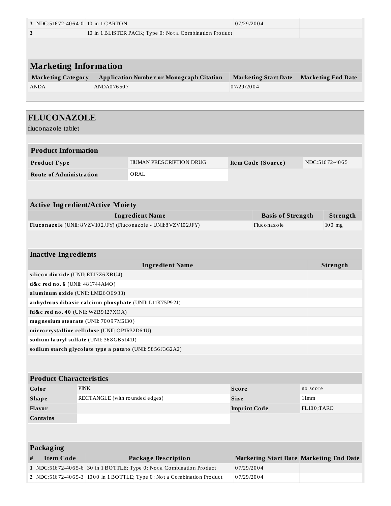| NDC:51672-4064-0 10 in 1 CARTON<br>07/29/2004<br>3                     |            |                                                                      |              |                                                |          |                           |
|------------------------------------------------------------------------|------------|----------------------------------------------------------------------|--------------|------------------------------------------------|----------|---------------------------|
| 3<br>10 in 1 BLISTER PACK; Type 0: Not a Combination Product           |            |                                                                      |              |                                                |          |                           |
|                                                                        |            |                                                                      |              |                                                |          |                           |
|                                                                        |            |                                                                      |              |                                                |          |                           |
| <b>Marketing Information</b>                                           |            |                                                                      |              |                                                |          |                           |
|                                                                        |            |                                                                      |              |                                                |          |                           |
| <b>Marketing Category</b>                                              |            | <b>Application Number or Monograph Citation</b>                      |              | <b>Marketing Start Date</b>                    |          | <b>Marketing End Date</b> |
| <b>ANDA</b>                                                            | ANDA076507 |                                                                      | 07/29/2004   |                                                |          |                           |
|                                                                        |            |                                                                      |              |                                                |          |                           |
|                                                                        |            |                                                                      |              |                                                |          |                           |
| <b>FLUCONAZOLE</b>                                                     |            |                                                                      |              |                                                |          |                           |
| fluconazole tablet                                                     |            |                                                                      |              |                                                |          |                           |
|                                                                        |            |                                                                      |              |                                                |          |                           |
| <b>Product Information</b>                                             |            |                                                                      |              |                                                |          |                           |
|                                                                        |            | HUMAN PRESCRIPTION DRUG                                              |              |                                                |          | NDC:51672-4065            |
| Product Type                                                           |            |                                                                      |              | Item Code (Source)                             |          |                           |
| <b>Route of Administration</b>                                         |            | ORAL                                                                 |              |                                                |          |                           |
|                                                                        |            |                                                                      |              |                                                |          |                           |
|                                                                        |            |                                                                      |              |                                                |          |                           |
| <b>Active Ingredient/Active Moiety</b>                                 |            |                                                                      |              |                                                |          |                           |
|                                                                        |            | <b>Ingredient Name</b>                                               |              | <b>Basis of Strength</b>                       |          | Strength                  |
|                                                                        |            | Fluconazole (UNII: 8VZV102JFY) (Fluconazole - UNII:8VZV102JFY)       |              | Fluconazole                                    |          | 100 mg                    |
|                                                                        |            |                                                                      |              |                                                |          |                           |
|                                                                        |            |                                                                      |              |                                                |          |                           |
| <b>Inactive Ingredients</b>                                            |            |                                                                      |              |                                                |          |                           |
| <b>Ingredient Name</b>                                                 |            |                                                                      |              |                                                |          | Strength                  |
| silicon dioxide (UNII: ETJ7Z6XBU4)                                     |            |                                                                      |              |                                                |          |                           |
| d&c red no. 6 (UNII: 481744AI4O)                                       |            |                                                                      |              |                                                |          |                           |
| aluminum oxide (UNII: LMI26O6933)                                      |            |                                                                      |              |                                                |          |                           |
| anhydrous dibasic calcium phosphate (UNII: L11K75P92J)                 |            |                                                                      |              |                                                |          |                           |
| fd&c red no. 40 (UNII: WZB9127XOA)                                     |            |                                                                      |              |                                                |          |                           |
| magnesium stearate (UNII: 70097M6I30)                                  |            |                                                                      |              |                                                |          |                           |
| microcrystalline cellulose (UNII: OP1R32D61U)                          |            |                                                                      |              |                                                |          |                           |
| sodium lauryl sulfate (UNII: 368GB5141J)                               |            |                                                                      |              |                                                |          |                           |
| sodium starch glycolate type a potato (UNII: 5856J3G2A2)               |            |                                                                      |              |                                                |          |                           |
|                                                                        |            |                                                                      |              |                                                |          |                           |
|                                                                        |            |                                                                      |              |                                                |          |                           |
| <b>Product Characteristics</b>                                         |            |                                                                      |              |                                                |          |                           |
| Color<br><b>PINK</b>                                                   |            |                                                                      | <b>Score</b> |                                                | no score |                           |
| <b>Shape</b><br>RECTANGLE (with rounded edges)<br>Size<br>11mm         |            |                                                                      |              |                                                |          |                           |
| Flavor<br>FL100;TARO<br><b>Imprint Code</b>                            |            |                                                                      |              |                                                |          |                           |
| <b>Contains</b>                                                        |            |                                                                      |              |                                                |          |                           |
|                                                                        |            |                                                                      |              |                                                |          |                           |
|                                                                        |            |                                                                      |              |                                                |          |                           |
| <b>Packaging</b>                                                       |            |                                                                      |              |                                                |          |                           |
| <b>Item Code</b><br>#                                                  |            | <b>Package Description</b>                                           |              | <b>Marketing Start Date Marketing End Date</b> |          |                           |
|                                                                        |            | 1 NDC:51672-4065-6 30 in 1 BOTTLE; Type 0: Not a Combination Product | 07/29/2004   |                                                |          |                           |
|                                                                        |            |                                                                      | 07/29/2004   |                                                |          |                           |
| 2 NDC:51672-4065-3 1000 in 1 BOTTLE; Type 0: Not a Combination Product |            |                                                                      |              |                                                |          |                           |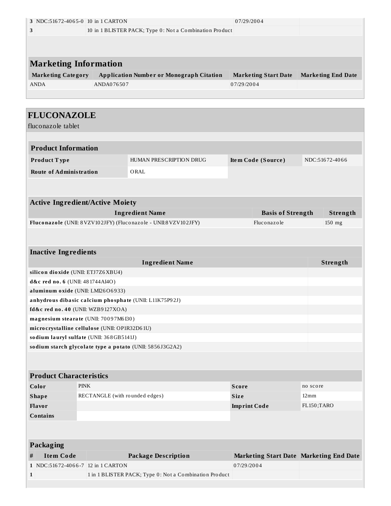|                                  | 3 NDC:51672-4065-0 10 in 1 CARTON             |                                                                  | 07/29/2004                              |                    |                           |  |  |
|----------------------------------|-----------------------------------------------|------------------------------------------------------------------|-----------------------------------------|--------------------|---------------------------|--|--|
| 3                                |                                               | 10 in 1 BLISTER PACK; Type 0: Not a Combination Product          |                                         |                    |                           |  |  |
|                                  |                                               |                                                                  |                                         |                    |                           |  |  |
|                                  |                                               |                                                                  |                                         |                    |                           |  |  |
|                                  |                                               |                                                                  |                                         |                    |                           |  |  |
|                                  | <b>Marketing Information</b>                  |                                                                  |                                         |                    |                           |  |  |
| <b>Marketing Category</b>        |                                               | <b>Application Number or Monograph Citation</b>                  | <b>Marketing Start Date</b>             |                    | <b>Marketing End Date</b> |  |  |
| ANDA                             | ANDA076507                                    |                                                                  | 07/29/2004                              |                    |                           |  |  |
|                                  |                                               |                                                                  |                                         |                    |                           |  |  |
|                                  |                                               |                                                                  |                                         |                    |                           |  |  |
| <b>FLUCONAZOLE</b>               |                                               |                                                                  |                                         |                    |                           |  |  |
| fluconazole tablet               |                                               |                                                                  |                                         |                    |                           |  |  |
|                                  |                                               |                                                                  |                                         |                    |                           |  |  |
| <b>Product Information</b>       |                                               |                                                                  |                                         |                    |                           |  |  |
|                                  |                                               |                                                                  |                                         |                    |                           |  |  |
| Product Type                     |                                               | HUMAN PRESCRIPTION DRUG                                          | Item Code (Source)                      |                    | NDC:51672-4066            |  |  |
| <b>Route of Administration</b>   |                                               | ORAL                                                             |                                         |                    |                           |  |  |
|                                  |                                               |                                                                  |                                         |                    |                           |  |  |
|                                  |                                               |                                                                  |                                         |                    |                           |  |  |
|                                  | <b>Active Ingredient/Active Moiety</b>        |                                                                  |                                         |                    |                           |  |  |
|                                  |                                               | <b>Ingredient Name</b>                                           | <b>Basis of Strength</b>                |                    | Strength                  |  |  |
|                                  |                                               | Fluconazole (UNII: 8 VZV102JFY) (Fluconazole - UNII:8 VZV102JFY) | Fluconazole                             |                    | 150 mg                    |  |  |
|                                  |                                               |                                                                  |                                         |                    |                           |  |  |
|                                  |                                               |                                                                  |                                         |                    |                           |  |  |
| <b>Inactive Ingredients</b>      |                                               |                                                                  |                                         |                    |                           |  |  |
|                                  |                                               |                                                                  |                                         |                    |                           |  |  |
|                                  |                                               | <b>Ingredient Name</b>                                           |                                         |                    | Strength                  |  |  |
| d&c red no. 6 (UNII: 481744AI4O) | silicon dioxide (UNII: ETJ7Z6XBU4)            |                                                                  |                                         |                    |                           |  |  |
|                                  | aluminum oxide (UNII: LMI26O6933)             |                                                                  |                                         |                    |                           |  |  |
|                                  |                                               | anhydrous dibasic calcium phosphate (UNII: L11K75P92J)           |                                         |                    |                           |  |  |
|                                  | fd&c red no. 40 (UNII: WZB9127XOA)            |                                                                  |                                         |                    |                           |  |  |
|                                  | magnesium stearate (UNII: 70097M6I30)         |                                                                  |                                         |                    |                           |  |  |
|                                  | microcrystalline cellulose (UNII: OP1R32D61U) |                                                                  |                                         |                    |                           |  |  |
|                                  | sodium lauryl sulfate (UNII: 368GB5141J)      |                                                                  |                                         |                    |                           |  |  |
|                                  |                                               | sodium starch glycolate type a potato (UNII: 5856J3G2A2)         |                                         |                    |                           |  |  |
|                                  |                                               |                                                                  |                                         |                    |                           |  |  |
|                                  |                                               |                                                                  |                                         |                    |                           |  |  |
| <b>Product Characteristics</b>   |                                               |                                                                  |                                         |                    |                           |  |  |
| Color                            |                                               |                                                                  | <b>Score</b>                            | no score           |                           |  |  |
|                                  |                                               |                                                                  |                                         |                    |                           |  |  |
|                                  | <b>PINK</b>                                   |                                                                  |                                         |                    |                           |  |  |
| <b>Shape</b>                     | RECTANGLE (with rounded edges)                |                                                                  | Size                                    | $12 \,\mathrm{mm}$ |                           |  |  |
| Flavor                           |                                               |                                                                  | <b>Imprint Code</b>                     | FL150;TARO         |                           |  |  |
| <b>Contains</b>                  |                                               |                                                                  |                                         |                    |                           |  |  |
|                                  |                                               |                                                                  |                                         |                    |                           |  |  |
|                                  |                                               |                                                                  |                                         |                    |                           |  |  |
| Packaging                        |                                               |                                                                  |                                         |                    |                           |  |  |
| <b>Item Code</b><br>#            |                                               | <b>Package Description</b>                                       | Marketing Start Date Marketing End Date |                    |                           |  |  |
|                                  | 1 NDC:51672-4066-7 12 in 1 CARTON             |                                                                  | 07/29/2004                              |                    |                           |  |  |
| $\mathbf{1}$                     |                                               | 1 in 1 BLISTER PACK; Type 0: Not a Combination Product           |                                         |                    |                           |  |  |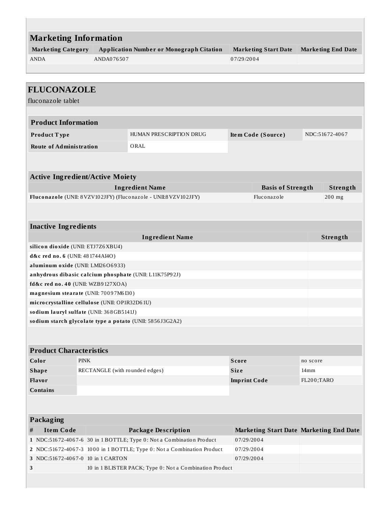| <b>Marketing Information</b>                           |                                |                                                                        |                     |                                         |          |                           |
|--------------------------------------------------------|--------------------------------|------------------------------------------------------------------------|---------------------|-----------------------------------------|----------|---------------------------|
| <b>Marketing Category</b>                              |                                | <b>Application Number or Monograph Citation</b>                        |                     | <b>Marketing Start Date</b>             |          | <b>Marketing End Date</b> |
| <b>ANDA</b>                                            | ANDA076507                     |                                                                        | 07/29/2004          |                                         |          |                           |
|                                                        |                                |                                                                        |                     |                                         |          |                           |
|                                                        |                                |                                                                        |                     |                                         |          |                           |
| <b>FLUCONAZOLE</b>                                     |                                |                                                                        |                     |                                         |          |                           |
| fluconazole tablet                                     |                                |                                                                        |                     |                                         |          |                           |
| <b>Product Information</b>                             |                                |                                                                        |                     |                                         |          |                           |
| Product Type                                           |                                | HUMAN PRESCRIPTION DRUG                                                |                     | Item Code (Source)                      |          | NDC:51672-4067            |
| <b>Route of Administration</b>                         |                                | ORAL                                                                   |                     |                                         |          |                           |
|                                                        |                                |                                                                        |                     |                                         |          |                           |
|                                                        |                                |                                                                        |                     |                                         |          |                           |
| <b>Active Ingredient/Active Moiety</b>                 |                                | <b>Ingredient Name</b>                                                 |                     | <b>Basis of Strength</b>                |          | Strength                  |
|                                                        |                                | Fluconazole (UNII: 8 VZV102JFY) (Fluconazole - UNII:8 VZV102JFY)       |                     | Fluconazole                             |          | 200 mg                    |
|                                                        |                                |                                                                        |                     |                                         |          |                           |
| <b>Inactive Ingredients</b>                            |                                |                                                                        |                     |                                         |          |                           |
|                                                        |                                | <b>Ingredient Name</b>                                                 |                     |                                         |          | Strength                  |
| silicon dioxide (UNII: ETJ7Z6XBU4)                     |                                |                                                                        |                     |                                         |          |                           |
| d&c red no. 6 (UNII: 481744AI4O)                       |                                |                                                                        |                     |                                         |          |                           |
| aluminum oxide (UNII: LMI26O6933)                      |                                |                                                                        |                     |                                         |          |                           |
| anhydrous dibasic calcium phosphate (UNII: L11K75P92J) |                                |                                                                        |                     |                                         |          |                           |
| fd&c red no. 40 (UNII: WZB9127XOA)                     |                                |                                                                        |                     |                                         |          |                           |
| magnesium stearate (UNII: 70097M6I30)                  |                                |                                                                        |                     |                                         |          |                           |
| microcrystalline cellulose (UNII: OP1R32D61U)          |                                |                                                                        |                     |                                         |          |                           |
| sodium lauryl sulfate (UNII: 368GB5141J)               |                                |                                                                        |                     |                                         |          |                           |
|                                                        |                                | sodium starch glycolate type a potato (UNII: 5856J3G2A2)               |                     |                                         |          |                           |
|                                                        |                                |                                                                        |                     |                                         |          |                           |
| <b>Product Characteristics</b>                         |                                |                                                                        |                     |                                         |          |                           |
| Color                                                  | <b>PINK</b>                    |                                                                        | <b>Score</b>        |                                         | no score |                           |
| <b>Shape</b>                                           | RECTANGLE (with rounded edges) |                                                                        | <b>Size</b><br>14mm |                                         |          |                           |
| Flavor<br><b>Imprint Code</b>                          |                                |                                                                        | FL200;TARO          |                                         |          |                           |
| <b>Contains</b>                                        |                                |                                                                        |                     |                                         |          |                           |
|                                                        |                                |                                                                        |                     |                                         |          |                           |
| <b>Packaging</b>                                       |                                |                                                                        |                     |                                         |          |                           |
| $\#$<br><b>Item Code</b>                               |                                | <b>Package Description</b>                                             |                     | Marketing Start Date Marketing End Date |          |                           |
|                                                        |                                | 1 NDC:51672-4067-6 30 in 1 BOTTLE; Type 0: Not a Combination Product   | 07/29/2004          |                                         |          |                           |
|                                                        |                                | 2 NDC:51672-4067-3 1000 in 1 BOTTLE; Type 0: Not a Combination Product | 07/29/2004          |                                         |          |                           |
| 3 NDC:51672-4067-0 10 in 1 CARTON                      |                                |                                                                        | 07/29/2004          |                                         |          |                           |
| 3                                                      |                                | 10 in 1 BLISTER PACK; Type 0: Not a Combination Product                |                     |                                         |          |                           |